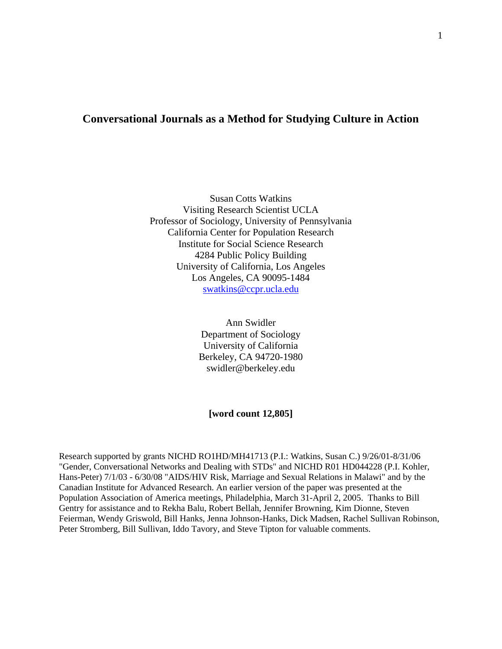# **Conversational Journals as a Method for Studying Culture in Action**

Susan Cotts Watkins Visiting Research Scientist UCLA Professor of Sociology, University of Pennsylvania California Center for Population Research Institute for Social Science Research 4284 Public Policy Building University of California, Los Angeles Los Angeles, CA 90095-1484 [swatkins@ccpr.ucla.edu](mailto:swatkins@ccpr.ucla.edu)

> Ann Swidler Department of Sociology University of California Berkeley, CA 94720-1980 swidler@berkeley.edu

**[word count 12,805]** 

Research supported by grants NICHD RO1HD/MH41713 (P.I.: Watkins, Susan C.) 9/26/01-8/31/06 "Gender, Conversational Networks and Dealing with STDs" and NICHD R01 HD044228 (P.I. Kohler, Hans-Peter) 7/1/03 - 6/30/08 "AIDS/HIV Risk, Marriage and Sexual Relations in Malawi" and by the Canadian Institute for Advanced Research. An earlier version of the paper was presented at the Population Association of America meetings, Philadelphia, March 31-April 2, 2005. Thanks to Bill Gentry for assistance and to Rekha Balu, Robert Bellah, Jennifer Browning, Kim Dionne, Steven Feierman, Wendy Griswold, Bill Hanks, Jenna Johnson-Hanks, Dick Madsen, Rachel Sullivan Robinson, Peter Stromberg, Bill Sullivan, Iddo Tavory, and Steve Tipton for valuable comments.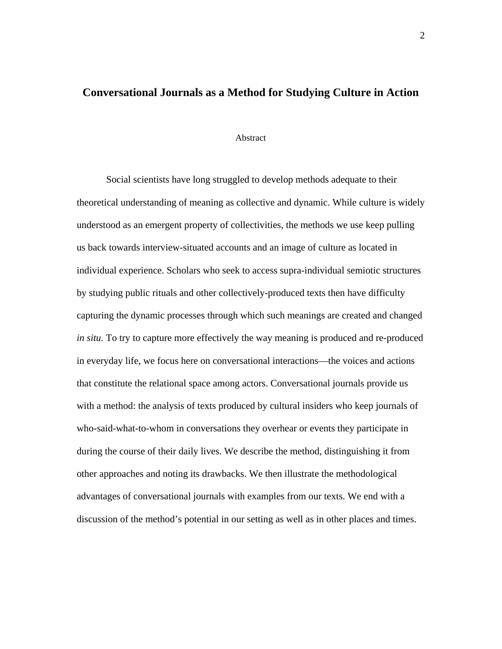# **Conversational Journals as a Method for Studying Culture in Action**

#### Abstract

Social scientists have long struggled to develop methods adequate to their theoretical understanding of meaning as collective and dynamic. While culture is widely understood as an emergent property of collectivities, the methods we use keep pulling us back towards interview-situated accounts and an image of culture as located in individual experience. Scholars who seek to access supra-individual semiotic structures by studying public rituals and other collectively-produced texts then have difficulty capturing the dynamic processes through which such meanings are created and changed *in situ.* To try to capture more effectively the way meaning is produced and re-produced in everyday life, we focus here on conversational interactions—the voices and actions that constitute the relational space among actors. Conversational journals provide us with a method: the analysis of texts produced by cultural insiders who keep journals of who-said-what-to-whom in conversations they overhear or events they participate in during the course of their daily lives. We describe the method, distinguishing it from other approaches and noting its drawbacks. We then illustrate the methodological advantages of conversational journals with examples from our texts. We end with a discussion of the method's potential in our setting as well as in other places and times.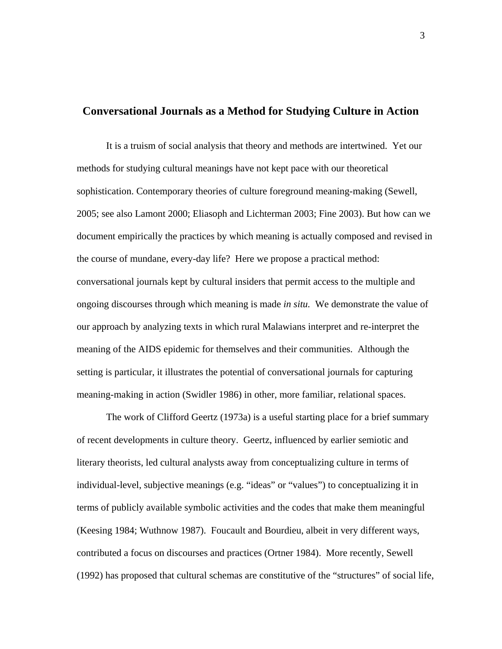# **Conversational Journals as a Method for Studying Culture in Action**

It is a truism of social analysis that theory and methods are intertwined. Yet our methods for studying cultural meanings have not kept pace with our theoretical sophistication. Contemporary theories of culture foreground meaning-making (Sewell, 2005; see also Lamont 2000; Eliasoph and Lichterman 2003; Fine 2003). But how can we document empirically the practices by which meaning is actually composed and revised in the course of mundane, every-day life? Here we propose a practical method: conversational journals kept by cultural insiders that permit access to the multiple and ongoing discourses through which meaning is made *in situ.* We demonstrate the value of our approach by analyzing texts in which rural Malawians interpret and re-interpret the meaning of the AIDS epidemic for themselves and their communities. Although the setting is particular, it illustrates the potential of conversational journals for capturing meaning-making in action (Swidler 1986) in other, more familiar, relational spaces.

The work of Clifford Geertz (1973a) is a useful starting place for a brief summary of recent developments in culture theory. Geertz, influenced by earlier semiotic and literary theorists, led cultural analysts away from conceptualizing culture in terms of individual-level, subjective meanings (e.g. "ideas" or "values") to conceptualizing it in terms of publicly available symbolic activities and the codes that make them meaningful (Keesing 1984; Wuthnow 1987). Foucault and Bourdieu, albeit in very different ways, contributed a focus on discourses and practices (Ortner 1984). More recently, Sewell (1992) has proposed that cultural schemas are constitutive of the "structures" of social life,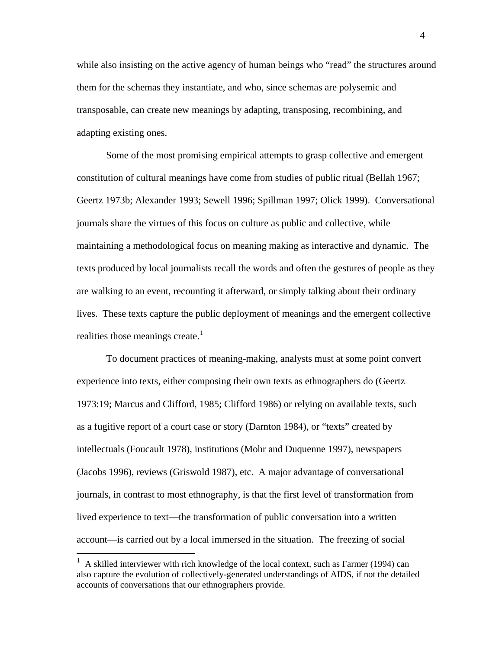while also insisting on the active agency of human beings who "read" the structures around them for the schemas they instantiate, and who, since schemas are polysemic and transposable, can create new meanings by adapting, transposing, recombining, and adapting existing ones.

Some of the most promising empirical attempts to grasp collective and emergent constitution of cultural meanings have come from studies of public ritual (Bellah 1967; Geertz 1973b; Alexander 1993; Sewell 1996; Spillman 1997; Olick 1999). Conversational journals share the virtues of this focus on culture as public and collective, while maintaining a methodological focus on meaning making as interactive and dynamic. The texts produced by local journalists recall the words and often the gestures of people as they are walking to an event, recounting it afterward, or simply talking about their ordinary lives. These texts capture the public deployment of meanings and the emergent collective realities those meanings create. $\frac{1}{1}$  $\frac{1}{1}$  $\frac{1}{1}$ 

To document practices of meaning-making, analysts must at some point convert experience into texts, either composing their own texts as ethnographers do (Geertz 1973:19; Marcus and Clifford, 1985; Clifford 1986) or relying on available texts, such as a fugitive report of a court case or story (Darnton 1984), or "texts" created by intellectuals (Foucault 1978), institutions (Mohr and Duquenne 1997), newspapers (Jacobs 1996), reviews (Griswold 1987), etc. A major advantage of conversational journals, in contrast to most ethnography, is that the first level of transformation from lived experience to text—the transformation of public conversation into a written account—is carried out by a local immersed in the situation. The freezing of social

<span id="page-3-0"></span><sup>1</sup> A skilled interviewer with rich knowledge of the local context, such as Farmer (1994) can also capture the evolution of collectively-generated understandings of AIDS, if not the detailed accounts of conversations that our ethnographers provide.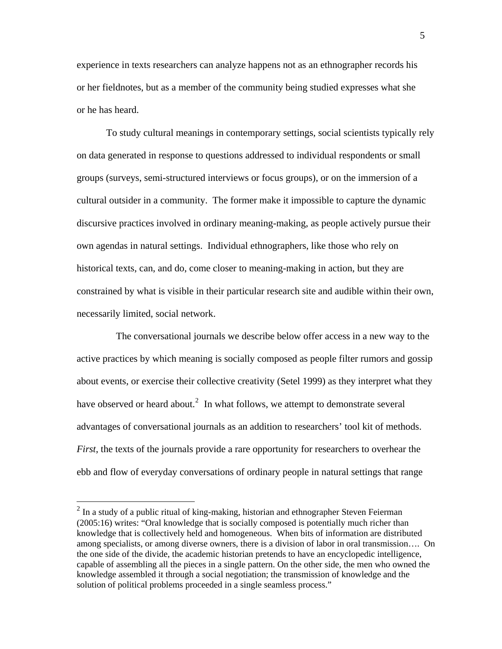experience in texts researchers can analyze happens not as an ethnographer records his or her fieldnotes, but as a member of the community being studied expresses what she or he has heard.

To study cultural meanings in contemporary settings, social scientists typically rely on data generated in response to questions addressed to individual respondents or small groups (surveys, semi-structured interviews or focus groups), or on the immersion of a cultural outsider in a community. The former make it impossible to capture the dynamic discursive practices involved in ordinary meaning-making, as people actively pursue their own agendas in natural settings. Individual ethnographers, like those who rely on historical texts, can, and do, come closer to meaning-making in action, but they are constrained by what is visible in their particular research site and audible within their own, necessarily limited, social network.

 The conversational journals we describe below offer access in a new way to the active practices by which meaning is socially composed as people filter rumors and gossip about events, or exercise their collective creativity (Setel 1999) as they interpret what they have observed or heard about.<sup>[2](#page-4-0)</sup> In what follows, we attempt to demonstrate several advantages of conversational journals as an addition to researchers' tool kit of methods. *First*, the texts of the journals provide a rare opportunity for researchers to overhear the ebb and flow of everyday conversations of ordinary people in natural settings that range

<span id="page-4-0"></span> $^{2}$  In a study of a public ritual of king-making, historian and ethnographer Steven Feierman (2005:16) writes: "Oral knowledge that is socially composed is potentially much richer than knowledge that is collectively held and homogeneous. When bits of information are distributed among specialists, or among diverse owners, there is a division of labor in oral transmission…. On the one side of the divide, the academic historian pretends to have an encyclopedic intelligence, capable of assembling all the pieces in a single pattern. On the other side, the men who owned the knowledge assembled it through a social negotiation; the transmission of knowledge and the solution of political problems proceeded in a single seamless process."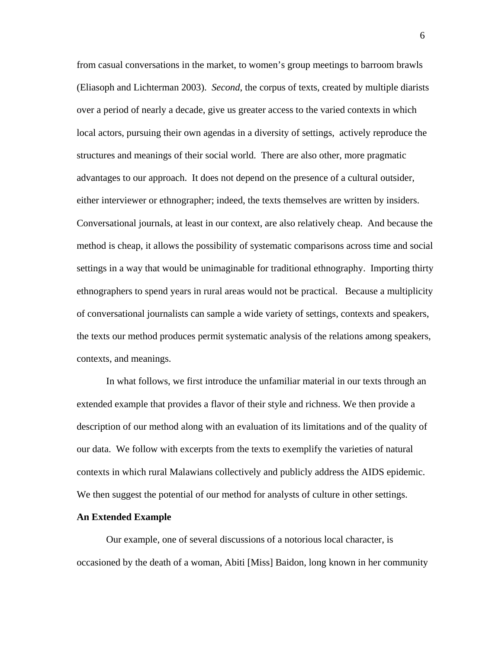from casual conversations in the market, to women's group meetings to barroom brawls (Eliasoph and Lichterman 2003). *Second*, the corpus of texts, created by multiple diarists over a period of nearly a decade, give us greater access to the varied contexts in which local actors, pursuing their own agendas in a diversity of settings, actively reproduce the structures and meanings of their social world. There are also other, more pragmatic advantages to our approach. It does not depend on the presence of a cultural outsider, either interviewer or ethnographer; indeed, the texts themselves are written by insiders. Conversational journals, at least in our context, are also relatively cheap. And because the method is cheap, it allows the possibility of systematic comparisons across time and social settings in a way that would be unimaginable for traditional ethnography. Importing thirty ethnographers to spend years in rural areas would not be practical. Because a multiplicity of conversational journalists can sample a wide variety of settings, contexts and speakers, the texts our method produces permit systematic analysis of the relations among speakers, contexts, and meanings.

In what follows, we first introduce the unfamiliar material in our texts through an extended example that provides a flavor of their style and richness. We then provide a description of our method along with an evaluation of its limitations and of the quality of our data. We follow with excerpts from the texts to exemplify the varieties of natural contexts in which rural Malawians collectively and publicly address the AIDS epidemic. We then suggest the potential of our method for analysts of culture in other settings.

### **An Extended Example**

Our example, one of several discussions of a notorious local character, is occasioned by the death of a woman, Abiti [Miss] Baidon, long known in her community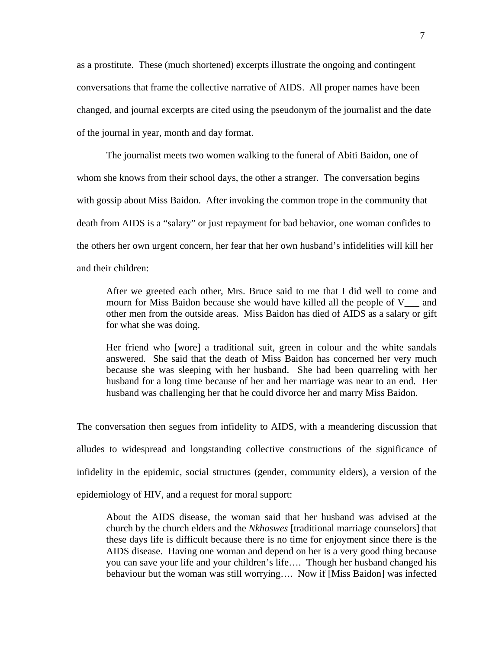as a prostitute. These (much shortened) excerpts illustrate the ongoing and contingent conversations that frame the collective narrative of AIDS. All proper names have been changed, and journal excerpts are cited using the pseudonym of the journalist and the date of the journal in year, month and day format.

The journalist meets two women walking to the funeral of Abiti Baidon, one of whom she knows from their school days, the other a stranger. The conversation begins with gossip about Miss Baidon. After invoking the common trope in the community that death from AIDS is a "salary" or just repayment for bad behavior, one woman confides to the others her own urgent concern, her fear that her own husband's infidelities will kill her and their children:

After we greeted each other, Mrs. Bruce said to me that I did well to come and mourn for Miss Baidon because she would have killed all the people of V and other men from the outside areas. Miss Baidon has died of AIDS as a salary or gift for what she was doing.

Her friend who [wore] a traditional suit, green in colour and the white sandals answered. She said that the death of Miss Baidon has concerned her very much because she was sleeping with her husband. She had been quarreling with her husband for a long time because of her and her marriage was near to an end. Her husband was challenging her that he could divorce her and marry Miss Baidon.

The conversation then segues from infidelity to AIDS, with a meandering discussion that alludes to widespread and longstanding collective constructions of the significance of infidelity in the epidemic, social structures (gender, community elders), a version of the epidemiology of HIV, and a request for moral support:

About the AIDS disease, the woman said that her husband was advised at the church by the church elders and the *Nkhoswes* [traditional marriage counselors] that these days life is difficult because there is no time for enjoyment since there is the AIDS disease. Having one woman and depend on her is a very good thing because you can save your life and your children's life…. Though her husband changed his behaviour but the woman was still worrying…. Now if [Miss Baidon] was infected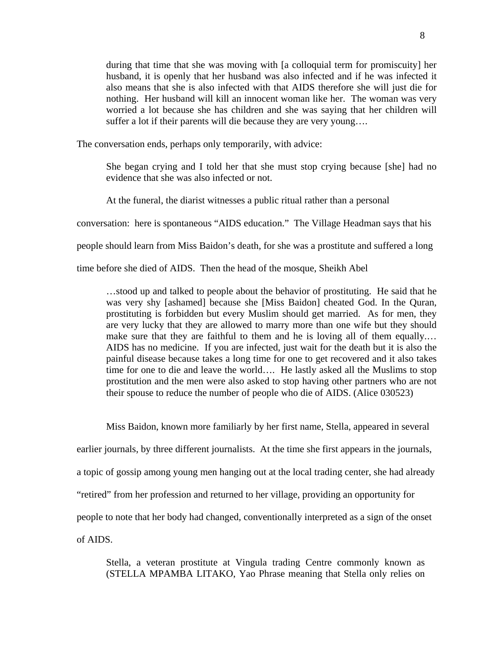during that time that she was moving with [a colloquial term for promiscuity] her husband, it is openly that her husband was also infected and if he was infected it also means that she is also infected with that AIDS therefore she will just die for nothing. Her husband will kill an innocent woman like her. The woman was very worried a lot because she has children and she was saying that her children will suffer a lot if their parents will die because they are very young….

The conversation ends, perhaps only temporarily, with advice:

She began crying and I told her that she must stop crying because [she] had no evidence that she was also infected or not.

At the funeral, the diarist witnesses a public ritual rather than a personal

conversation: here is spontaneous "AIDS education." The Village Headman says that his

people should learn from Miss Baidon's death, for she was a prostitute and suffered a long

time before she died of AIDS. Then the head of the mosque, Sheikh Abel

…stood up and talked to people about the behavior of prostituting. He said that he was very shy [ashamed] because she [Miss Baidon] cheated God. In the Quran, prostituting is forbidden but every Muslim should get married. As for men, they are very lucky that they are allowed to marry more than one wife but they should make sure that they are faithful to them and he is loving all of them equally.... AIDS has no medicine. If you are infected, just wait for the death but it is also the painful disease because takes a long time for one to get recovered and it also takes time for one to die and leave the world…. He lastly asked all the Muslims to stop prostitution and the men were also asked to stop having other partners who are not their spouse to reduce the number of people who die of AIDS. (Alice 030523)

Miss Baidon, known more familiarly by her first name, Stella, appeared in several earlier journals, by three different journalists. At the time she first appears in the journals, a topic of gossip among young men hanging out at the local trading center, she had already "retired" from her profession and returned to her village, providing an opportunity for people to note that her body had changed, conventionally interpreted as a sign of the onset of AIDS.

Stella, a veteran prostitute at Vingula trading Centre commonly known as (STELLA MPAMBA LITAKO, Yao Phrase meaning that Stella only relies on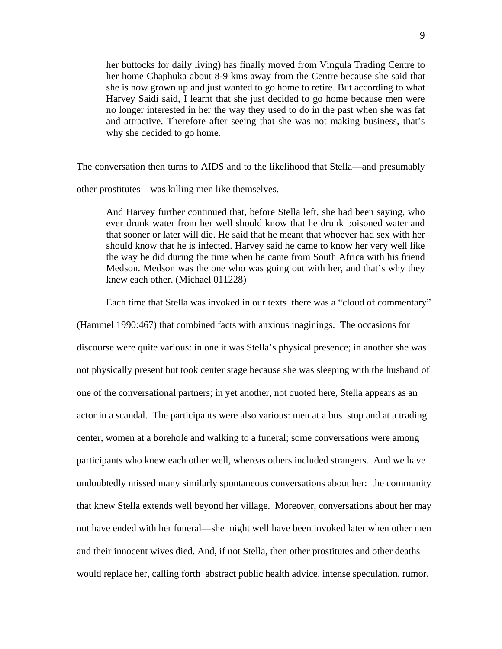her buttocks for daily living) has finally moved from Vingula Trading Centre to her home Chaphuka about 8-9 kms away from the Centre because she said that she is now grown up and just wanted to go home to retire. But according to what Harvey Saidi said, I learnt that she just decided to go home because men were no longer interested in her the way they used to do in the past when she was fat and attractive. Therefore after seeing that she was not making business, that's why she decided to go home.

The conversation then turns to AIDS and to the likelihood that Stella—and presumably other prostitutes—was killing men like themselves.

And Harvey further continued that, before Stella left, she had been saying, who ever drunk water from her well should know that he drunk poisoned water and that sooner or later will die. He said that he meant that whoever had sex with her should know that he is infected. Harvey said he came to know her very well like the way he did during the time when he came from South Africa with his friend Medson. Medson was the one who was going out with her, and that's why they knew each other. (Michael 011228)

Each time that Stella was invoked in our texts there was a "cloud of commentary"

(Hammel 1990:467) that combined facts with anxious inaginings. The occasions for discourse were quite various: in one it was Stella's physical presence; in another she was not physically present but took center stage because she was sleeping with the husband of one of the conversational partners; in yet another, not quoted here, Stella appears as an actor in a scandal. The participants were also various: men at a bus stop and at a trading center, women at a borehole and walking to a funeral; some conversations were among participants who knew each other well, whereas others included strangers. And we have undoubtedly missed many similarly spontaneous conversations about her: the community that knew Stella extends well beyond her village. Moreover, conversations about her may not have ended with her funeral—she might well have been invoked later when other men and their innocent wives died. And, if not Stella, then other prostitutes and other deaths would replace her, calling forth abstract public health advice, intense speculation, rumor,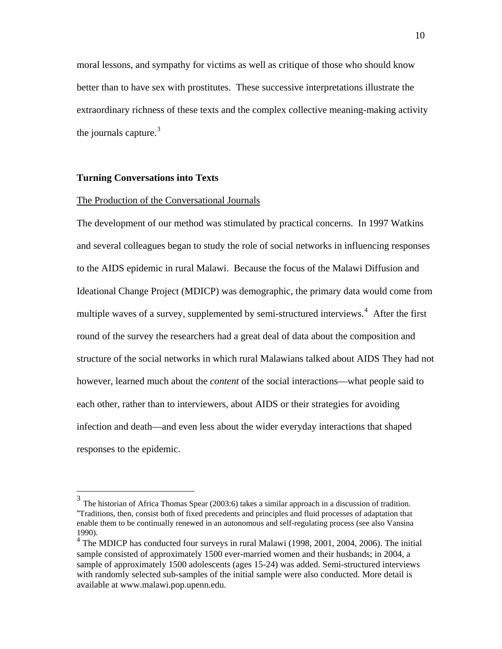moral lessons, and sympathy for victims as well as critique of those who should know better than to have sex with prostitutes. These successive interpretations illustrate the extraordinary richness of these texts and the complex collective meaning-making activity the journals capture. $3$ 

## **Turning Conversations into Texts**

 $\overline{a}$ 

#### The Production of the Conversational Journals

The development of our method was stimulated by practical concerns. In 1997 Watkins and several colleagues began to study the role of social networks in influencing responses to the AIDS epidemic in rural Malawi. Because the focus of the Malawi Diffusion and Ideational Change Project (MDICP) was demographic, the primary data would come from multiple waves of a survey, supplemented by semi-structured interviews.<sup>[4](#page-9-1)</sup> After the first round of the survey the researchers had a great deal of data about the composition and structure of the social networks in which rural Malawians talked about AIDS They had not however, learned much about the *content* of the social interactions—what people said to each other, rather than to interviewers, about AIDS or their strategies for avoiding infection and death—and even less about the wider everyday interactions that shaped responses to the epidemic.

<span id="page-9-0"></span> $3$  The historian of Africa Thomas Spear (2003:6) takes a similar approach in a discussion of tradition. "Traditions, then, consist both of fixed precedents and principles and fluid processes of adaptation that enable them to be continually renewed in an autonomous and self-regulating process (see also Vansina 1990).

<span id="page-9-1"></span> $4$  The MDICP has conducted four surveys in rural Malawi (1998, 2001, 2004, 2006). The initial sample consisted of approximately 1500 ever-married women and their husbands; in 2004, a sample of approximately 1500 adolescents (ages 15-24) was added. Semi-structured interviews with randomly selected sub-samples of the initial sample were also conducted. More detail is available at www.malawi.pop.upenn.edu.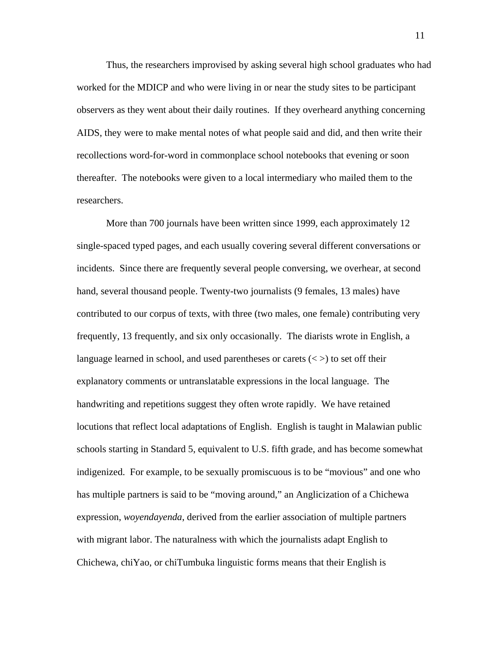Thus, the researchers improvised by asking several high school graduates who had worked for the MDICP and who were living in or near the study sites to be participant observers as they went about their daily routines. If they overheard anything concerning AIDS, they were to make mental notes of what people said and did, and then write their recollections word-for-word in commonplace school notebooks that evening or soon thereafter. The notebooks were given to a local intermediary who mailed them to the researchers.

More than 700 journals have been written since 1999, each approximately 12 single-spaced typed pages, and each usually covering several different conversations or incidents. Since there are frequently several people conversing, we overhear, at second hand, several thousand people. Twenty-two journalists (9 females, 13 males) have contributed to our corpus of texts, with three (two males, one female) contributing very frequently, 13 frequently, and six only occasionally. The diarists wrote in English, a language learned in school, and used parentheses or carets  $\langle \langle \rangle$  to set off their explanatory comments or untranslatable expressions in the local language. The handwriting and repetitions suggest they often wrote rapidly. We have retained locutions that reflect local adaptations of English. English is taught in Malawian public schools starting in Standard 5, equivalent to U.S. fifth grade, and has become somewhat indigenized. For example, to be sexually promiscuous is to be "movious" and one who has multiple partners is said to be "moving around," an Anglicization of a Chichewa expression, *woyendayenda*, derived from the earlier association of multiple partners with migrant labor. The naturalness with which the journalists adapt English to Chichewa, chiYao, or chiTumbuka linguistic forms means that their English is

11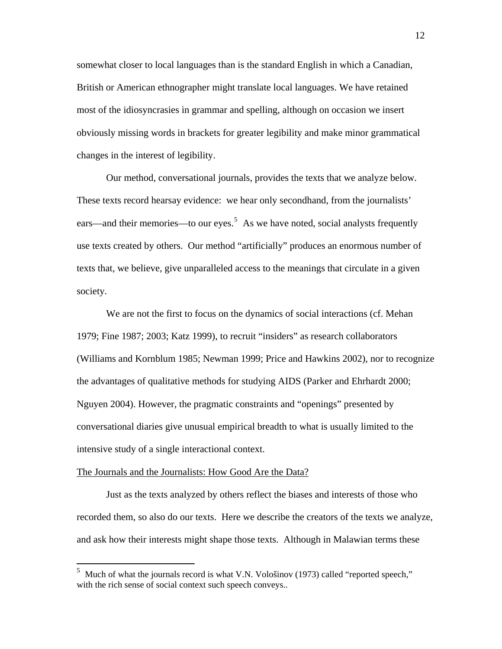somewhat closer to local languages than is the standard English in which a Canadian, British or American ethnographer might translate local languages. We have retained most of the idiosyncrasies in grammar and spelling, although on occasion we insert obviously missing words in brackets for greater legibility and make minor grammatical changes in the interest of legibility.

Our method, conversational journals, provides the texts that we analyze below. These texts record hearsay evidence: we hear only secondhand, from the journalists' ears—and their memories—to our eyes.<sup>[5](#page-11-0)</sup> As we have noted, social analysts frequently use texts created by others. Our method "artificially" produces an enormous number of texts that, we believe, give unparalleled access to the meanings that circulate in a given society.

We are not the first to focus on the dynamics of social interactions (cf. Mehan 1979; Fine 1987; 2003; Katz 1999), to recruit "insiders" as research collaborators (Williams and Kornblum 1985; Newman 1999; Price and Hawkins 2002), nor to recognize the advantages of qualitative methods for studying AIDS (Parker and Ehrhardt 2000; Nguyen 2004). However, the pragmatic constraints and "openings" presented by conversational diaries give unusual empirical breadth to what is usually limited to the intensive study of a single interactional context.

#### The Journals and the Journalists: How Good Are the Data?

Just as the texts analyzed by others reflect the biases and interests of those who recorded them, so also do our texts. Here we describe the creators of the texts we analyze, and ask how their interests might shape those texts. Although in Malawian terms these

<span id="page-11-0"></span><sup>&</sup>lt;sup>5</sup> Much of what the journals record is what V.N. Vološinov (1973) called "reported speech," with the rich sense of social context such speech conveys..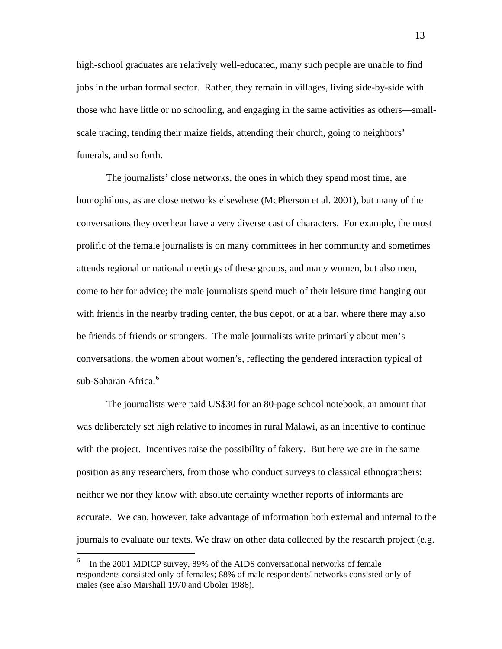high-school graduates are relatively well-educated, many such people are unable to find jobs in the urban formal sector. Rather, they remain in villages, living side-by-side with those who have little or no schooling, and engaging in the same activities as others—smallscale trading, tending their maize fields, attending their church, going to neighbors' funerals, and so forth.

The journalists' close networks, the ones in which they spend most time, are homophilous, as are close networks elsewhere (McPherson et al. 2001), but many of the conversations they overhear have a very diverse cast of characters. For example, the most prolific of the female journalists is on many committees in her community and sometimes attends regional or national meetings of these groups, and many women, but also men, come to her for advice; the male journalists spend much of their leisure time hanging out with friends in the nearby trading center, the bus depot, or at a bar, where there may also be friends of friends or strangers. The male journalists write primarily about men's conversations, the women about women's, reflecting the gendered interaction typical of sub-Saharan Africa.<sup>[6](#page-12-0)</sup>

The journalists were paid US\$30 for an 80-page school notebook, an amount that was deliberately set high relative to incomes in rural Malawi, as an incentive to continue with the project. Incentives raise the possibility of fakery. But here we are in the same position as any researchers, from those who conduct surveys to classical ethnographers: neither we nor they know with absolute certainty whether reports of informants are accurate. We can, however, take advantage of information both external and internal to the journals to evaluate our texts. We draw on other data collected by the research project (e.g.

<span id="page-12-0"></span><sup>6</sup> In the 2001 MDICP survey, 89% of the AIDS conversational networks of female respondents consisted only of females; 88% of male respondents' networks consisted only of males (see also Marshall 1970 and Oboler 1986).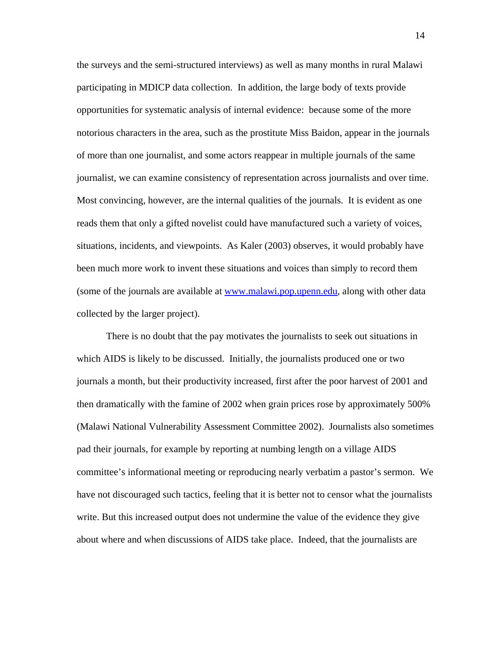the surveys and the semi-structured interviews) as well as many months in rural Malawi participating in MDICP data collection. In addition, the large body of texts provide opportunities for systematic analysis of internal evidence: because some of the more notorious characters in the area, such as the prostitute Miss Baidon, appear in the journals of more than one journalist, and some actors reappear in multiple journals of the same journalist, we can examine consistency of representation across journalists and over time. Most convincing, however, are the internal qualities of the journals. It is evident as one reads them that only a gifted novelist could have manufactured such a variety of voices, situations, incidents, and viewpoints. As Kaler (2003) observes, it would probably have been much more work to invent these situations and voices than simply to record them (some of the journals are available at [www.malawi.pop.upenn.edu,](http://www.malawi.pop.upenn.edu/) along with other data collected by the larger project).

There is no doubt that the pay motivates the journalists to seek out situations in which AIDS is likely to be discussed. Initially, the journalists produced one or two journals a month, but their productivity increased, first after the poor harvest of 2001 and then dramatically with the famine of 2002 when grain prices rose by approximately 500% (Malawi National Vulnerability Assessment Committee 2002). Journalists also sometimes pad their journals, for example by reporting at numbing length on a village AIDS committee's informational meeting or reproducing nearly verbatim a pastor's sermon. We have not discouraged such tactics, feeling that it is better not to censor what the journalists write. But this increased output does not undermine the value of the evidence they give about where and when discussions of AIDS take place. Indeed, that the journalists are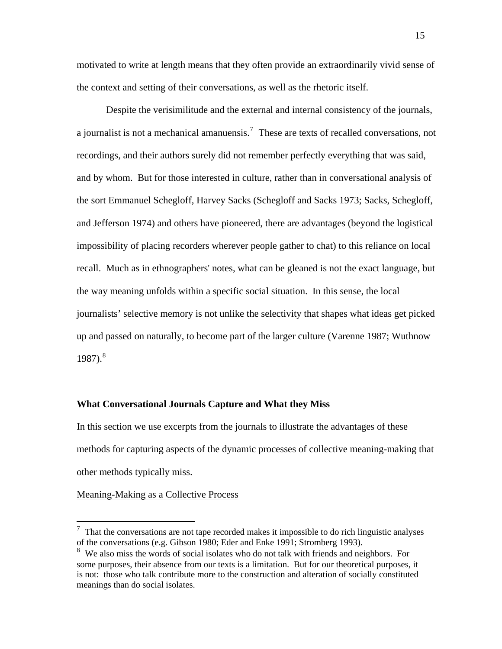motivated to write at length means that they often provide an extraordinarily vivid sense of the context and setting of their conversations, as well as the rhetoric itself.

Despite the verisimilitude and the external and internal consistency of the journals, a journalist is not a mechanical amanuensis.<sup>[7](#page-14-0)</sup> These are texts of recalled conversations, not recordings, and their authors surely did not remember perfectly everything that was said, and by whom. But for those interested in culture, rather than in conversational analysis of the sort Emmanuel Schegloff, Harvey Sacks (Schegloff and Sacks 1973; Sacks, Schegloff, and Jefferson 1974) and others have pioneered, there are advantages (beyond the logistical impossibility of placing recorders wherever people gather to chat) to this reliance on local recall. Much as in ethnographers' notes, what can be gleaned is not the exact language, but the way meaning unfolds within a specific social situation. In this sense, the local journalists' selective memory is not unlike the selectivity that shapes what ideas get picked up and passed on naturally, to become part of the larger culture (Varenne 1987; Wuthnow  $1987$  $1987$  $1987$ .<sup>8</sup>

### **What Conversational Journals Capture and What they Miss**

In this section we use excerpts from the journals to illustrate the advantages of these methods for capturing aspects of the dynamic processes of collective meaning-making that other methods typically miss.

## Meaning-Making as a Collective Process

<span id="page-14-0"></span> $\frac{7}{1}$  That the conversations are not tape recorded makes it impossible to do rich linguistic analyses of the conversations (e.g. Gibson 1980; Eder and Enke 1991; Stromberg 1993).

<span id="page-14-1"></span><sup>&</sup>lt;sup>8</sup> We also miss the words of social isolates who do not talk with friends and neighbors. For some purposes, their absence from our texts is a limitation. But for our theoretical purposes, it is not: those who talk contribute more to the construction and alteration of socially constituted meanings than do social isolates.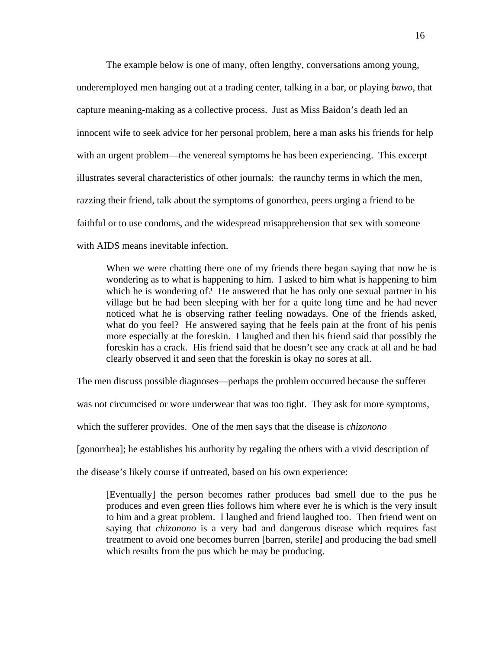The example below is one of many, often lengthy, conversations among young, underemployed men hanging out at a trading center, talking in a bar, or playing *bawo*, that capture meaning-making as a collective process. Just as Miss Baidon's death led an innocent wife to seek advice for her personal problem, here a man asks his friends for help with an urgent problem—the venereal symptoms he has been experiencing. This excerpt illustrates several characteristics of other journals: the raunchy terms in which the men, razzing their friend, talk about the symptoms of gonorrhea, peers urging a friend to be faithful or to use condoms, and the widespread misapprehension that sex with someone with AIDS means inevitable infection.

When we were chatting there one of my friends there began saying that now he is wondering as to what is happening to him. I asked to him what is happening to him which he is wondering of? He answered that he has only one sexual partner in his village but he had been sleeping with her for a quite long time and he had never noticed what he is observing rather feeling nowadays. One of the friends asked, what do you feel? He answered saying that he feels pain at the front of his penis more especially at the foreskin. I laughed and then his friend said that possibly the foreskin has a crack. His friend said that he doesn't see any crack at all and he had clearly observed it and seen that the foreskin is okay no sores at all.

The men discuss possible diagnoses—perhaps the problem occurred because the sufferer

was not circumcised or wore underwear that was too tight. They ask for more symptoms,

which the sufferer provides. One of the men says that the disease is *chizonono* 

[gonorrhea]; he establishes his authority by regaling the others with a vivid description of

the disease's likely course if untreated, based on his own experience:

[Eventually] the person becomes rather produces bad smell due to the pus he produces and even green flies follows him where ever he is which is the very insult to him and a great problem. I laughed and friend laughed too. Then friend went on saying that *chizonono* is a very bad and dangerous disease which requires fast treatment to avoid one becomes burren [barren, sterile] and producing the bad smell which results from the pus which he may be producing.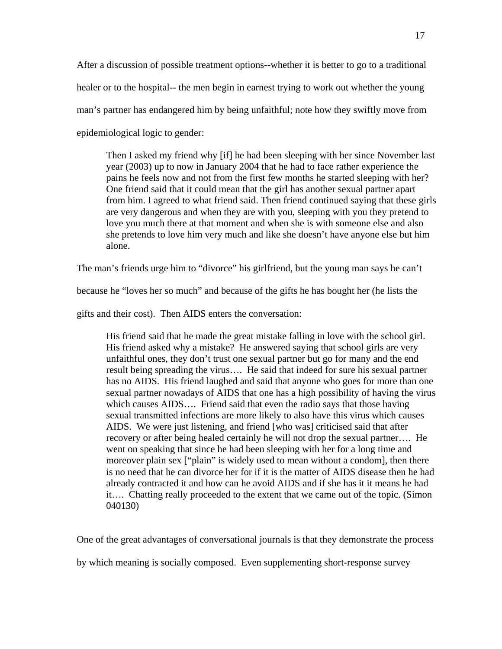After a discussion of possible treatment options--whether it is better to go to a traditional healer or to the hospital-- the men begin in earnest trying to work out whether the young man's partner has endangered him by being unfaithful; note how they swiftly move from epidemiological logic to gender:

Then I asked my friend why [if] he had been sleeping with her since November last year (2003) up to now in January 2004 that he had to face rather experience the pains he feels now and not from the first few months he started sleeping with her? One friend said that it could mean that the girl has another sexual partner apart from him. I agreed to what friend said. Then friend continued saying that these girls are very dangerous and when they are with you, sleeping with you they pretend to love you much there at that moment and when she is with someone else and also she pretends to love him very much and like she doesn't have anyone else but him alone.

The man's friends urge him to "divorce" his girlfriend, but the young man says he can't

because he "loves her so much" and because of the gifts he has bought her (he lists the

gifts and their cost). Then AIDS enters the conversation:

His friend said that he made the great mistake falling in love with the school girl. His friend asked why a mistake? He answered saying that school girls are very unfaithful ones, they don't trust one sexual partner but go for many and the end result being spreading the virus…. He said that indeed for sure his sexual partner has no AIDS. His friend laughed and said that anyone who goes for more than one sexual partner nowadays of AIDS that one has a high possibility of having the virus which causes AIDS.... Friend said that even the radio says that those having sexual transmitted infections are more likely to also have this virus which causes AIDS. We were just listening, and friend [who was] criticised said that after recovery or after being healed certainly he will not drop the sexual partner…. He went on speaking that since he had been sleeping with her for a long time and moreover plain sex ["plain" is widely used to mean without a condom], then there is no need that he can divorce her for if it is the matter of AIDS disease then he had already contracted it and how can he avoid AIDS and if she has it it means he had it…. Chatting really proceeded to the extent that we came out of the topic. (Simon 040130)

One of the great advantages of conversational journals is that they demonstrate the process

by which meaning is socially composed. Even supplementing short-response survey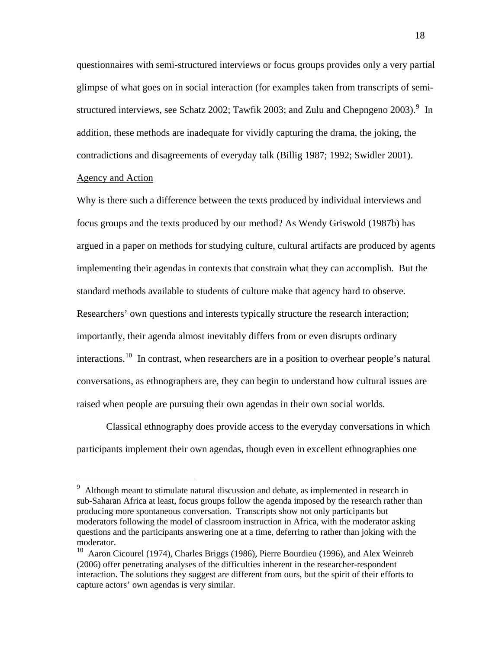questionnaires with semi-structured interviews or focus groups provides only a very partial glimpse of what goes on in social interaction (for examples taken from transcripts of semi-structured interviews, see Schatz 2002; Tawfik 2003; and Zulu and Chepngeno 2003). <sup>[9](#page-17-0)</sup> In addition, these methods are inadequate for vividly capturing the drama, the joking, the contradictions and disagreements of everyday talk (Billig 1987; 1992; Swidler 2001).

# Agency and Action

Why is there such a difference between the texts produced by individual interviews and focus groups and the texts produced by our method? As Wendy Griswold (1987b) has argued in a paper on methods for studying culture, cultural artifacts are produced by agents implementing their agendas in contexts that constrain what they can accomplish. But the standard methods available to students of culture make that agency hard to observe. Researchers' own questions and interests typically structure the research interaction; importantly, their agenda almost inevitably differs from or even disrupts ordinary interactions.<sup>[10](#page-17-1)</sup> In contrast, when researchers are in a position to overhear people's natural conversations, as ethnographers are, they can begin to understand how cultural issues are raised when people are pursuing their own agendas in their own social worlds.

Classical ethnography does provide access to the everyday conversations in which participants implement their own agendas, though even in excellent ethnographies one

<span id="page-17-0"></span><sup>—&</sup>lt;br>9 Although meant to stimulate natural discussion and debate, as implemented in research in sub-Saharan Africa at least, focus groups follow the agenda imposed by the research rather than producing more spontaneous conversation. Transcripts show not only participants but moderators following the model of classroom instruction in Africa, with the moderator asking questions and the participants answering one at a time, deferring to rather than joking with the moderator.

<span id="page-17-1"></span><sup>&</sup>lt;sup>10</sup> Aaron Cicourel (1974), Charles Briggs (1986), Pierre Bourdieu (1996), and Alex Weinreb (2006) offer penetrating analyses of the difficulties inherent in the researcher-respondent interaction. The solutions they suggest are different from ours, but the spirit of their efforts to capture actors' own agendas is very similar.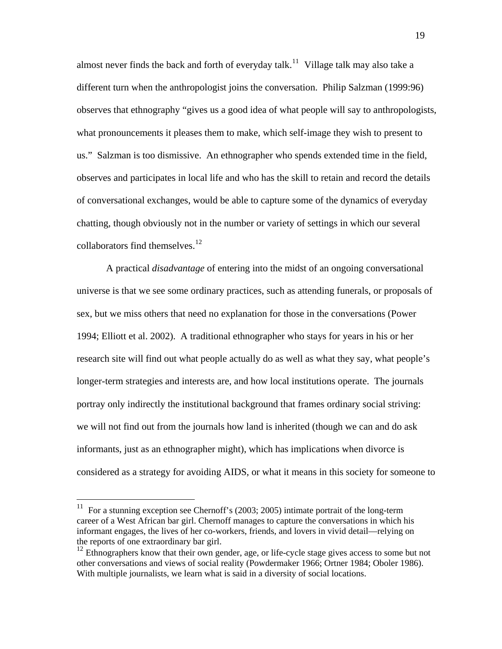almost never finds the back and forth of everyday talk.<sup>[11](#page-18-0)</sup> Village talk may also take a different turn when the anthropologist joins the conversation. Philip Salzman (1999:96) observes that ethnography "gives us a good idea of what people will say to anthropologists, what pronouncements it pleases them to make, which self-image they wish to present to us." Salzman is too dismissive. An ethnographer who spends extended time in the field, observes and participates in local life and who has the skill to retain and record the details of conversational exchanges, would be able to capture some of the dynamics of everyday chatting, though obviously not in the number or variety of settings in which our several collaborators find themselves. $12$ 

A practical *disadvantage* of entering into the midst of an ongoing conversational universe is that we see some ordinary practices, such as attending funerals, or proposals of sex, but we miss others that need no explanation for those in the conversations (Power 1994; Elliott et al. 2002). A traditional ethnographer who stays for years in his or her research site will find out what people actually do as well as what they say, what people's longer-term strategies and interests are, and how local institutions operate. The journals portray only indirectly the institutional background that frames ordinary social striving: we will not find out from the journals how land is inherited (though we can and do ask informants, just as an ethnographer might), which has implications when divorce is considered as a strategy for avoiding AIDS, or what it means in this society for someone to

<span id="page-18-0"></span><sup>&</sup>lt;sup>11</sup> For a stunning exception see Chernoff's (2003; 2005) intimate portrait of the long-term career of a West African bar girl. Chernoff manages to capture the conversations in which his informant engages, the lives of her co-workers, friends, and lovers in vivid detail—relying on the reports of one extraordinary bar girl.

<span id="page-18-1"></span> $12$  Ethnographers know that their own gender, age, or life-cycle stage gives access to some but not other conversations and views of social reality (Powdermaker 1966; Ortner 1984; Oboler 1986). With multiple journalists, we learn what is said in a diversity of social locations.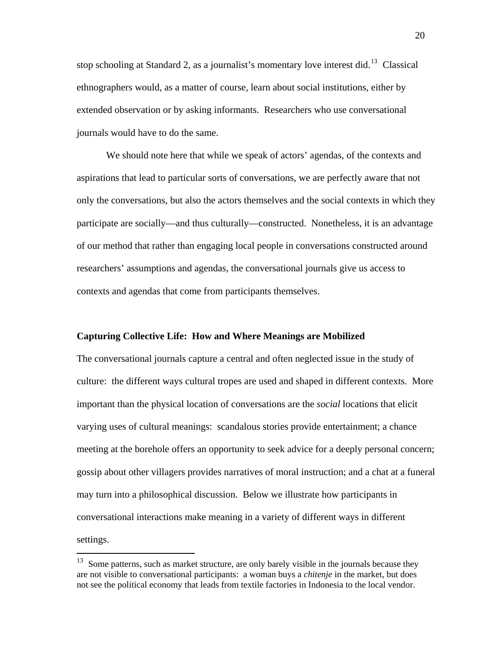stop schooling at Standard 2, as a journalist's momentary love interest did.<sup>[13](#page-19-0)</sup> Classical ethnographers would, as a matter of course, learn about social institutions, either by extended observation or by asking informants. Researchers who use conversational journals would have to do the same.

We should note here that while we speak of actors' agendas, of the contexts and aspirations that lead to particular sorts of conversations, we are perfectly aware that not only the conversations, but also the actors themselves and the social contexts in which they participate are socially—and thus culturally—constructed. Nonetheless, it is an advantage of our method that rather than engaging local people in conversations constructed around researchers' assumptions and agendas, the conversational journals give us access to contexts and agendas that come from participants themselves.

### **Capturing Collective Life: How and Where Meanings are Mobilized**

The conversational journals capture a central and often neglected issue in the study of culture: the different ways cultural tropes are used and shaped in different contexts. More important than the physical location of conversations are the *social* locations that elicit varying uses of cultural meanings: scandalous stories provide entertainment; a chance meeting at the borehole offers an opportunity to seek advice for a deeply personal concern; gossip about other villagers provides narratives of moral instruction; and a chat at a funeral may turn into a philosophical discussion. Below we illustrate how participants in conversational interactions make meaning in a variety of different ways in different settings.

<span id="page-19-0"></span> $13$  Some patterns, such as market structure, are only barely visible in the journals because they are not visible to conversational participants: a woman buys a *chitenje* in the market, but does not see the political economy that leads from textile factories in Indonesia to the local vendor.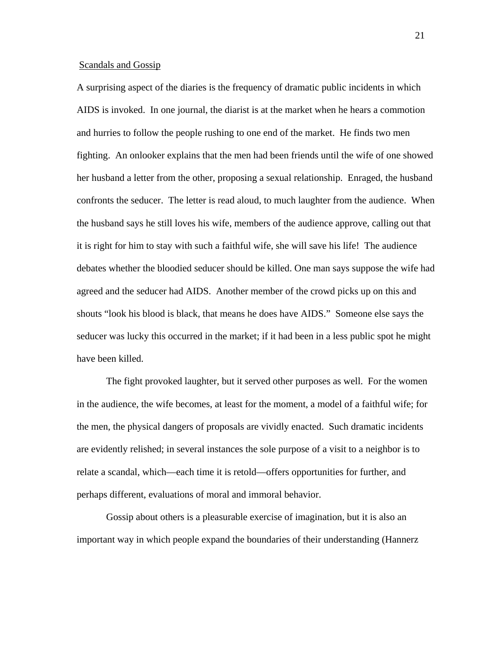# Scandals and Gossip

A surprising aspect of the diaries is the frequency of dramatic public incidents in which AIDS is invoked. In one journal, the diarist is at the market when he hears a commotion and hurries to follow the people rushing to one end of the market. He finds two men fighting. An onlooker explains that the men had been friends until the wife of one showed her husband a letter from the other, proposing a sexual relationship. Enraged, the husband confronts the seducer. The letter is read aloud, to much laughter from the audience. When the husband says he still loves his wife, members of the audience approve, calling out that it is right for him to stay with such a faithful wife, she will save his life! The audience debates whether the bloodied seducer should be killed. One man says suppose the wife had agreed and the seducer had AIDS. Another member of the crowd picks up on this and shouts "look his blood is black, that means he does have AIDS." Someone else says the seducer was lucky this occurred in the market; if it had been in a less public spot he might have been killed.

The fight provoked laughter, but it served other purposes as well. For the women in the audience, the wife becomes, at least for the moment, a model of a faithful wife; for the men, the physical dangers of proposals are vividly enacted. Such dramatic incidents are evidently relished; in several instances the sole purpose of a visit to a neighbor is to relate a scandal, which—each time it is retold—offers opportunities for further, and perhaps different, evaluations of moral and immoral behavior.

Gossip about others is a pleasurable exercise of imagination, but it is also an important way in which people expand the boundaries of their understanding (Hannerz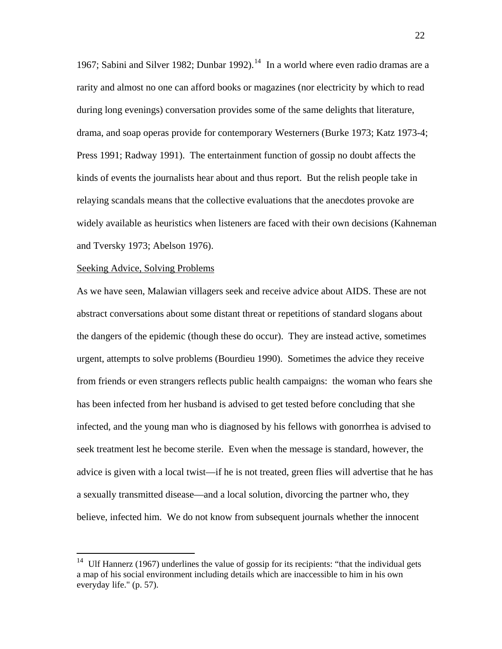1967; Sabini and Silver 1982; Dunbar 1992).<sup>[14](#page-21-0)</sup> In a world where even radio dramas are a rarity and almost no one can afford books or magazines (nor electricity by which to read during long evenings) conversation provides some of the same delights that literature, drama, and soap operas provide for contemporary Westerners (Burke 1973; Katz 1973-4; Press 1991; Radway 1991). The entertainment function of gossip no doubt affects the kinds of events the journalists hear about and thus report. But the relish people take in relaying scandals means that the collective evaluations that the anecdotes provoke are widely available as heuristics when listeners are faced with their own decisions (Kahneman and Tversky 1973; Abelson 1976).

# Seeking Advice, Solving Problems

 $\overline{a}$ 

As we have seen, Malawian villagers seek and receive advice about AIDS. These are not abstract conversations about some distant threat or repetitions of standard slogans about the dangers of the epidemic (though these do occur). They are instead active, sometimes urgent, attempts to solve problems (Bourdieu 1990). Sometimes the advice they receive from friends or even strangers reflects public health campaigns: the woman who fears she has been infected from her husband is advised to get tested before concluding that she infected, and the young man who is diagnosed by his fellows with gonorrhea is advised to seek treatment lest he become sterile. Even when the message is standard, however, the advice is given with a local twist—if he is not treated, green flies will advertise that he has a sexually transmitted disease—and a local solution, divorcing the partner who, they believe, infected him. We do not know from subsequent journals whether the innocent

<span id="page-21-0"></span><sup>14</sup> Ulf Hannerz (1967) underlines the value of gossip for its recipients: "that the individual gets a map of his social environment including details which are inaccessible to him in his own everyday life." (p. 57).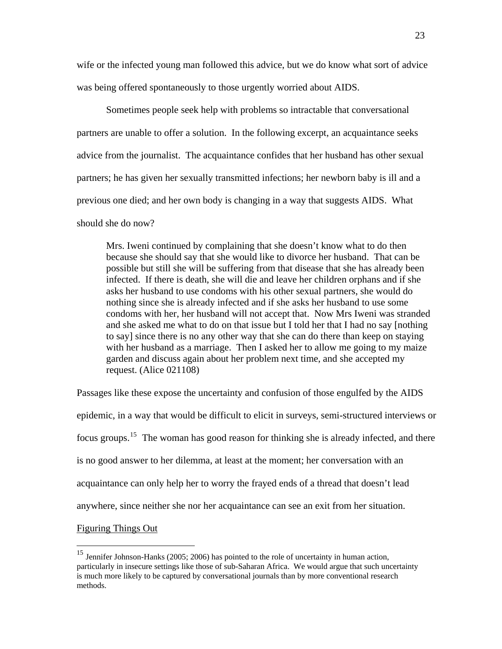wife or the infected young man followed this advice, but we do know what sort of advice was being offered spontaneously to those urgently worried about AIDS.

Sometimes people seek help with problems so intractable that conversational partners are unable to offer a solution. In the following excerpt, an acquaintance seeks advice from the journalist. The acquaintance confides that her husband has other sexual partners; he has given her sexually transmitted infections; her newborn baby is ill and a previous one died; and her own body is changing in a way that suggests AIDS. What should she do now?

Mrs. Iweni continued by complaining that she doesn't know what to do then because she should say that she would like to divorce her husband. That can be possible but still she will be suffering from that disease that she has already been infected. If there is death, she will die and leave her children orphans and if she asks her husband to use condoms with his other sexual partners, she would do nothing since she is already infected and if she asks her husband to use some condoms with her, her husband will not accept that. Now Mrs Iweni was stranded and she asked me what to do on that issue but I told her that I had no say [nothing to say] since there is no any other way that she can do there than keep on staying with her husband as a marriage. Then I asked her to allow me going to my maize garden and discuss again about her problem next time, and she accepted my request. (Alice 021108)

Passages like these expose the uncertainty and confusion of those engulfed by the AIDS epidemic, in a way that would be difficult to elicit in surveys, semi-structured interviews or focus groups.<sup>[15](#page-22-0)</sup> The woman has good reason for thinking she is already infected, and there is no good answer to her dilemma, at least at the moment; her conversation with an acquaintance can only help her to worry the frayed ends of a thread that doesn't lead anywhere, since neither she nor her acquaintance can see an exit from her situation.

Figuring Things Out

<span id="page-22-0"></span><sup>&</sup>lt;sup>15</sup> Jennifer Johnson-Hanks (2005; 2006) has pointed to the role of uncertainty in human action, particularly in insecure settings like those of sub-Saharan Africa. We would argue that such uncertainty is much more likely to be captured by conversational journals than by more conventional research methods.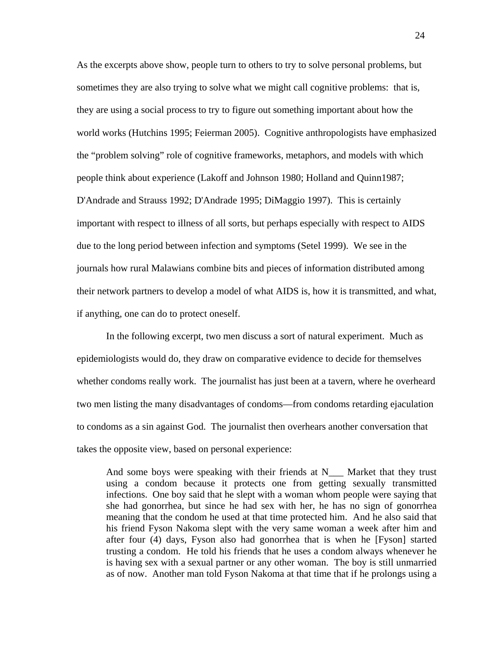As the excerpts above show, people turn to others to try to solve personal problems, but sometimes they are also trying to solve what we might call cognitive problems: that is, they are using a social process to try to figure out something important about how the world works (Hutchins 1995; Feierman 2005). Cognitive anthropologists have emphasized the "problem solving" role of cognitive frameworks, metaphors, and models with which people think about experience (Lakoff and Johnson 1980; Holland and Quinn1987; D'Andrade and Strauss 1992; D'Andrade 1995; DiMaggio 1997). This is certainly important with respect to illness of all sorts, but perhaps especially with respect to AIDS due to the long period between infection and symptoms (Setel 1999). We see in the journals how rural Malawians combine bits and pieces of information distributed among their network partners to develop a model of what AIDS is, how it is transmitted, and what, if anything, one can do to protect oneself.

In the following excerpt, two men discuss a sort of natural experiment. Much as epidemiologists would do, they draw on comparative evidence to decide for themselves whether condoms really work. The journalist has just been at a tavern, where he overheard two men listing the many disadvantages of condoms—from condoms retarding ejaculation to condoms as a sin against God. The journalist then overhears another conversation that takes the opposite view, based on personal experience:

And some boys were speaking with their friends at  $N_{\text{max}}$  Market that they trust using a condom because it protects one from getting sexually transmitted infections. One boy said that he slept with a woman whom people were saying that she had gonorrhea, but since he had sex with her, he has no sign of gonorrhea meaning that the condom he used at that time protected him. And he also said that his friend Fyson Nakoma slept with the very same woman a week after him and after four (4) days, Fyson also had gonorrhea that is when he [Fyson] started trusting a condom. He told his friends that he uses a condom always whenever he is having sex with a sexual partner or any other woman. The boy is still unmarried as of now. Another man told Fyson Nakoma at that time that if he prolongs using a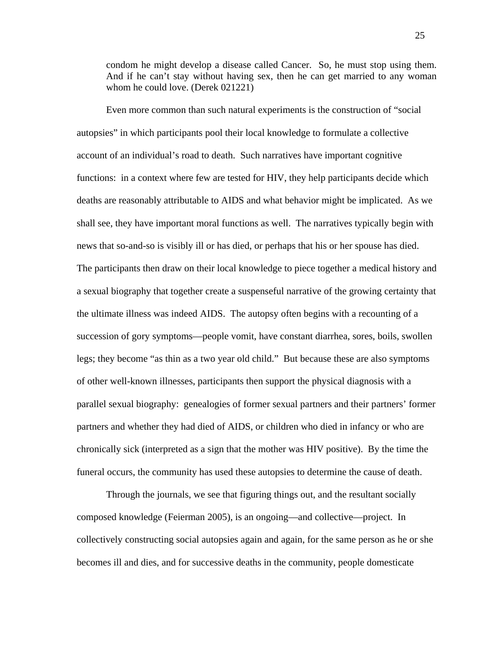condom he might develop a disease called Cancer. So, he must stop using them. And if he can't stay without having sex, then he can get married to any woman whom he could love. (Derek 021221)

Even more common than such natural experiments is the construction of "social autopsies" in which participants pool their local knowledge to formulate a collective account of an individual's road to death. Such narratives have important cognitive functions: in a context where few are tested for HIV, they help participants decide which deaths are reasonably attributable to AIDS and what behavior might be implicated. As we shall see, they have important moral functions as well. The narratives typically begin with news that so-and-so is visibly ill or has died, or perhaps that his or her spouse has died. The participants then draw on their local knowledge to piece together a medical history and a sexual biography that together create a suspenseful narrative of the growing certainty that the ultimate illness was indeed AIDS. The autopsy often begins with a recounting of a succession of gory symptoms—people vomit, have constant diarrhea, sores, boils, swollen legs; they become "as thin as a two year old child." But because these are also symptoms of other well-known illnesses, participants then support the physical diagnosis with a parallel sexual biography: genealogies of former sexual partners and their partners' former partners and whether they had died of AIDS, or children who died in infancy or who are chronically sick (interpreted as a sign that the mother was HIV positive). By the time the funeral occurs, the community has used these autopsies to determine the cause of death.

Through the journals, we see that figuring things out, and the resultant socially composed knowledge (Feierman 2005), is an ongoing—and collective—project. In collectively constructing social autopsies again and again, for the same person as he or she becomes ill and dies, and for successive deaths in the community, people domesticate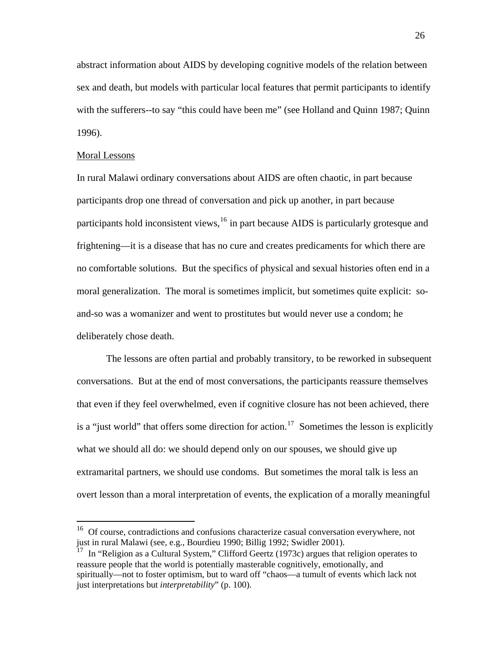abstract information about AIDS by developing cognitive models of the relation between sex and death, but models with particular local features that permit participants to identify with the sufferers--to say "this could have been me" (see Holland and Quinn 1987; Quinn 1996).

#### Moral Lessons

 $\overline{a}$ 

In rural Malawi ordinary conversations about AIDS are often chaotic, in part because participants drop one thread of conversation and pick up another, in part because participants hold inconsistent views,  $16$  in part because AIDS is particularly grotesque and frightening—it is a disease that has no cure and creates predicaments for which there are no comfortable solutions. But the specifics of physical and sexual histories often end in a moral generalization. The moral is sometimes implicit, but sometimes quite explicit: soand-so was a womanizer and went to prostitutes but would never use a condom; he deliberately chose death.

The lessons are often partial and probably transitory, to be reworked in subsequent conversations. But at the end of most conversations, the participants reassure themselves that even if they feel overwhelmed, even if cognitive closure has not been achieved, there is a "just world" that offers some direction for action.<sup>[17](#page-25-1)</sup> Sometimes the lesson is explicitly what we should all do: we should depend only on our spouses, we should give up extramarital partners, we should use condoms. But sometimes the moral talk is less an overt lesson than a moral interpretation of events, the explication of a morally meaningful

<span id="page-25-0"></span><sup>&</sup>lt;sup>16</sup> Of course, contradictions and confusions characterize casual conversation everywhere, not just in rural Malawi (see, e.g., Bourdieu 1990; Billig 1992; Swidler 2001).

<span id="page-25-1"></span><sup>17</sup> In "Religion as a Cultural System," Clifford Geertz (1973c) argues that religion operates to reassure people that the world is potentially masterable cognitively, emotionally, and spiritually—not to foster optimism, but to ward off "chaos—a tumult of events which lack not just interpretations but *interpretability*" (p. 100).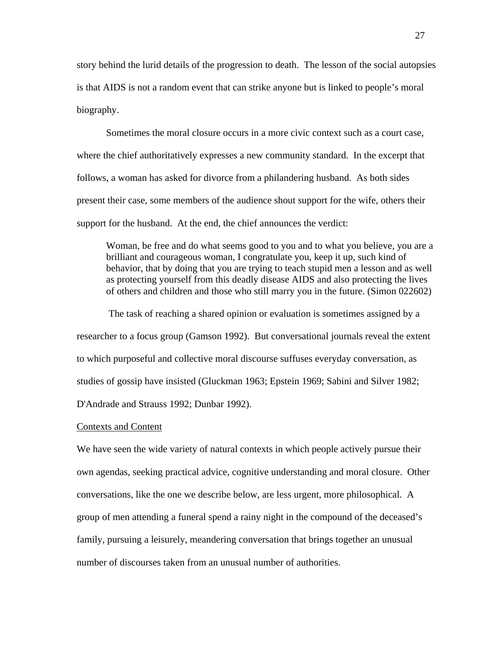story behind the lurid details of the progression to death. The lesson of the social autopsies is that AIDS is not a random event that can strike anyone but is linked to people's moral biography.

Sometimes the moral closure occurs in a more civic context such as a court case, where the chief authoritatively expresses a new community standard. In the excerpt that follows, a woman has asked for divorce from a philandering husband. As both sides present their case, some members of the audience shout support for the wife, others their support for the husband. At the end, the chief announces the verdict:

Woman, be free and do what seems good to you and to what you believe, you are a brilliant and courageous woman, I congratulate you, keep it up, such kind of behavior, that by doing that you are trying to teach stupid men a lesson and as well as protecting yourself from this deadly disease AIDS and also protecting the lives of others and children and those who still marry you in the future. (Simon 022602)

 The task of reaching a shared opinion or evaluation is sometimes assigned by a researcher to a focus group (Gamson 1992). But conversational journals reveal the extent to which purposeful and collective moral discourse suffuses everyday conversation, as studies of gossip have insisted (Gluckman 1963; Epstein 1969; Sabini and Silver 1982; D'Andrade and Strauss 1992; Dunbar 1992).

### Contexts and Content

We have seen the wide variety of natural contexts in which people actively pursue their own agendas, seeking practical advice, cognitive understanding and moral closure. Other conversations, like the one we describe below, are less urgent, more philosophical. A group of men attending a funeral spend a rainy night in the compound of the deceased's family, pursuing a leisurely, meandering conversation that brings together an unusual number of discourses taken from an unusual number of authorities.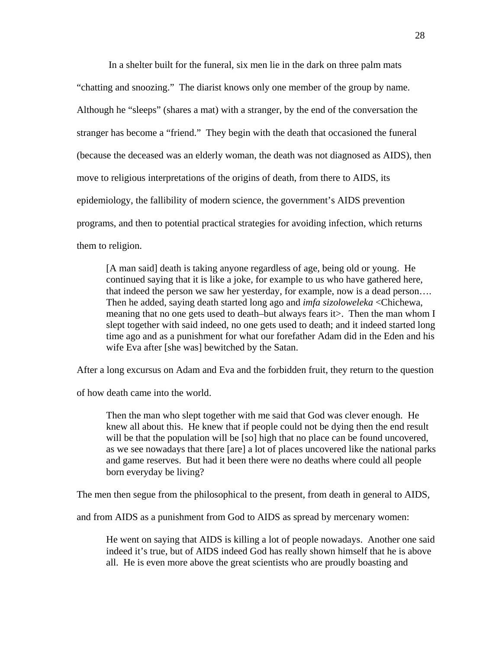In a shelter built for the funeral, six men lie in the dark on three palm mats "chatting and snoozing." The diarist knows only one member of the group by name. Although he "sleeps" (shares a mat) with a stranger, by the end of the conversation the stranger has become a "friend." They begin with the death that occasioned the funeral (because the deceased was an elderly woman, the death was not diagnosed as AIDS), then move to religious interpretations of the origins of death, from there to AIDS, its epidemiology, the fallibility of modern science, the government's AIDS prevention programs, and then to potential practical strategies for avoiding infection, which returns them to religion.

[A man said] death is taking anyone regardless of age, being old or young. He continued saying that it is like a joke, for example to us who have gathered here, that indeed the person we saw her yesterday, for example, now is a dead person…. Then he added, saying death started long ago and *imfa sizoloweleka* <Chichewa, meaning that no one gets used to death–but always fears it>. Then the man whom I slept together with said indeed, no one gets used to death; and it indeed started long time ago and as a punishment for what our forefather Adam did in the Eden and his wife Eva after [she was] bewitched by the Satan.

After a long excursus on Adam and Eva and the forbidden fruit, they return to the question

of how death came into the world.

Then the man who slept together with me said that God was clever enough. He knew all about this. He knew that if people could not be dying then the end result will be that the population will be [so] high that no place can be found uncovered, as we see nowadays that there [are] a lot of places uncovered like the national parks and game reserves. But had it been there were no deaths where could all people born everyday be living?

The men then segue from the philosophical to the present, from death in general to AIDS,

and from AIDS as a punishment from God to AIDS as spread by mercenary women:

He went on saying that AIDS is killing a lot of people nowadays. Another one said indeed it's true, but of AIDS indeed God has really shown himself that he is above all. He is even more above the great scientists who are proudly boasting and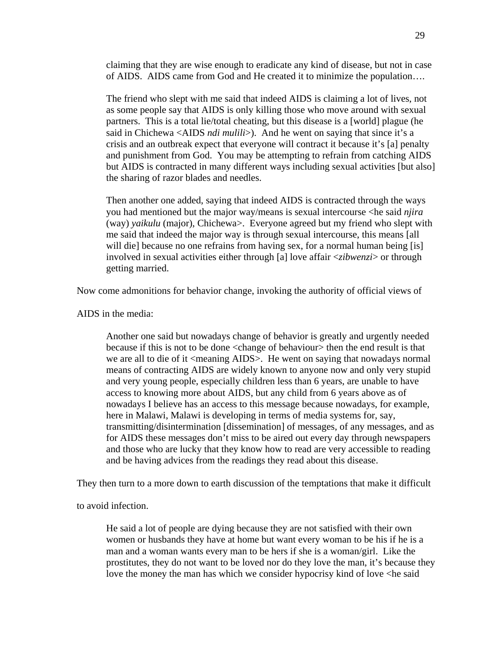claiming that they are wise enough to eradicate any kind of disease, but not in case of AIDS. AIDS came from God and He created it to minimize the population….

The friend who slept with me said that indeed AIDS is claiming a lot of lives, not as some people say that AIDS is only killing those who move around with sexual partners. This is a total lie/total cheating, but this disease is a [world] plague (he said in Chichewa <AIDS *ndi mulili*>). And he went on saying that since it's a crisis and an outbreak expect that everyone will contract it because it's [a] penalty and punishment from God. You may be attempting to refrain from catching AIDS but AIDS is contracted in many different ways including sexual activities [but also] the sharing of razor blades and needles.

Then another one added, saying that indeed AIDS is contracted through the ways you had mentioned but the major way/means is sexual intercourse <he said *njira*  (way) *yaikulu* (major), Chichewa>. Everyone agreed but my friend who slept with me said that indeed the major way is through sexual intercourse, this means [all will die] because no one refrains from having sex, for a normal human being [is] involved in sexual activities either through [a] love affair <*zibwenzi*> or through getting married.

Now come admonitions for behavior change, invoking the authority of official views of

AIDS in the media:

Another one said but nowadays change of behavior is greatly and urgently needed because if this is not to be done <change of behaviour> then the end result is that we are all to die of it <meaning AIDS>. He went on saying that nowadays normal means of contracting AIDS are widely known to anyone now and only very stupid and very young people, especially children less than 6 years, are unable to have access to knowing more about AIDS, but any child from 6 years above as of nowadays I believe has an access to this message because nowadays, for example, here in Malawi, Malawi is developing in terms of media systems for, say, transmitting/disintermination [dissemination] of messages, of any messages, and as for AIDS these messages don't miss to be aired out every day through newspapers and those who are lucky that they know how to read are very accessible to reading and be having advices from the readings they read about this disease.

They then turn to a more down to earth discussion of the temptations that make it difficult

to avoid infection.

He said a lot of people are dying because they are not satisfied with their own women or husbands they have at home but want every woman to be his if he is a man and a woman wants every man to be hers if she is a woman/girl. Like the prostitutes, they do not want to be loved nor do they love the man, it's because they love the money the man has which we consider hypocrisy kind of love <he said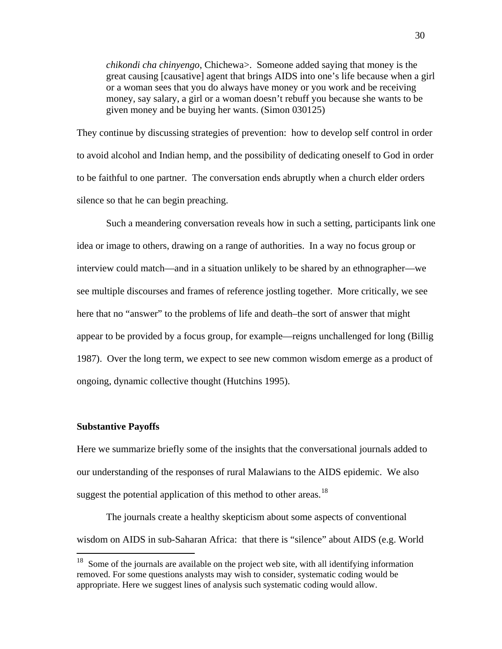*chikondi cha chinyengo*, Chichewa>. Someone added saying that money is the great causing [causative] agent that brings AIDS into one's life because when a girl or a woman sees that you do always have money or you work and be receiving money, say salary, a girl or a woman doesn't rebuff you because she wants to be given money and be buying her wants. (Simon 030125)

They continue by discussing strategies of prevention: how to develop self control in order to avoid alcohol and Indian hemp, and the possibility of dedicating oneself to God in order to be faithful to one partner. The conversation ends abruptly when a church elder orders silence so that he can begin preaching.

Such a meandering conversation reveals how in such a setting, participants link one idea or image to others, drawing on a range of authorities. In a way no focus group or interview could match—and in a situation unlikely to be shared by an ethnographer—we see multiple discourses and frames of reference jostling together. More critically, we see here that no "answer" to the problems of life and death–the sort of answer that might appear to be provided by a focus group, for example—reigns unchallenged for long (Billig 1987). Over the long term, we expect to see new common wisdom emerge as a product of ongoing, dynamic collective thought (Hutchins 1995).

#### **Substantive Payoffs**

 $\overline{a}$ 

Here we summarize briefly some of the insights that the conversational journals added to our understanding of the responses of rural Malawians to the AIDS epidemic. We also suggest the potential application of this method to other areas.<sup>[18](#page-29-0)</sup>

The journals create a healthy skepticism about some aspects of conventional wisdom on AIDS in sub-Saharan Africa: that there is "silence" about AIDS (e.g. World

<span id="page-29-0"></span><sup>&</sup>lt;sup>18</sup> Some of the journals are available on the project web site, with all identifying information removed. For some questions analysts may wish to consider, systematic coding would be appropriate. Here we suggest lines of analysis such systematic coding would allow.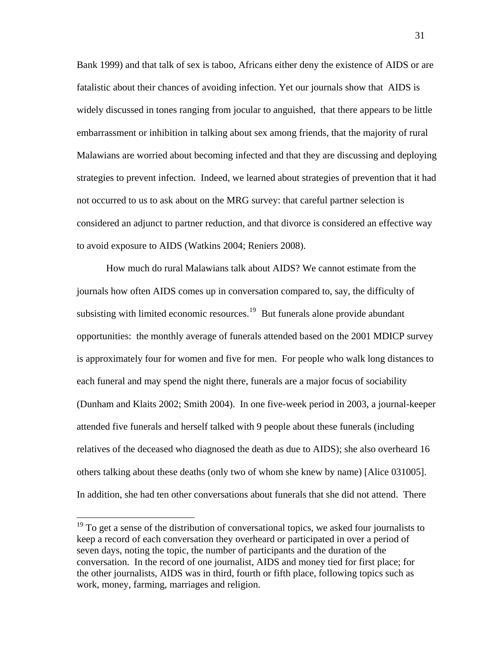Bank 1999) and that talk of sex is taboo, Africans either deny the existence of AIDS or are fatalistic about their chances of avoiding infection. Yet our journals show that AIDS is widely discussed in tones ranging from jocular to anguished, that there appears to be little embarrassment or inhibition in talking about sex among friends, that the majority of rural Malawians are worried about becoming infected and that they are discussing and deploying strategies to prevent infection. Indeed, we learned about strategies of prevention that it had not occurred to us to ask about on the MRG survey: that careful partner selection is considered an adjunct to partner reduction, and that divorce is considered an effective way to avoid exposure to AIDS (Watkins 2004; Reniers 2008).

How much do rural Malawians talk about AIDS? We cannot estimate from the journals how often AIDS comes up in conversation compared to, say, the difficulty of subsisting with limited economic resources.<sup>[19](#page-30-0)</sup> But funerals alone provide abundant opportunities: the monthly average of funerals attended based on the 2001 MDICP survey is approximately four for women and five for men. For people who walk long distances to each funeral and may spend the night there, funerals are a major focus of sociability (Dunham and Klaits 2002; Smith 2004). In one five-week period in 2003, a journal-keeper attended five funerals and herself talked with 9 people about these funerals (including relatives of the deceased who diagnosed the death as due to AIDS); she also overheard 16 others talking about these deaths (only two of whom she knew by name) [Alice 031005]. In addition, she had ten other conversations about funerals that she did not attend. There

<span id="page-30-0"></span> $19$  To get a sense of the distribution of conversational topics, we asked four journalists to keep a record of each conversation they overheard or participated in over a period of seven days, noting the topic, the number of participants and the duration of the conversation. In the record of one journalist, AIDS and money tied for first place; for the other journalists, AIDS was in third, fourth or fifth place, following topics such as work, money, farming, marriages and religion.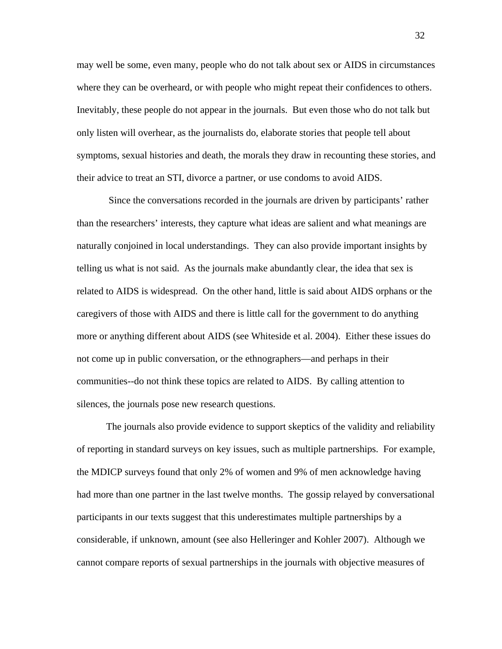may well be some, even many, people who do not talk about sex or AIDS in circumstances where they can be overheard, or with people who might repeat their confidences to others. Inevitably, these people do not appear in the journals. But even those who do not talk but only listen will overhear, as the journalists do, elaborate stories that people tell about symptoms, sexual histories and death, the morals they draw in recounting these stories, and their advice to treat an STI, divorce a partner, or use condoms to avoid AIDS.

 Since the conversations recorded in the journals are driven by participants' rather than the researchers' interests, they capture what ideas are salient and what meanings are naturally conjoined in local understandings. They can also provide important insights by telling us what is not said. As the journals make abundantly clear, the idea that sex is related to AIDS is widespread. On the other hand, little is said about AIDS orphans or the caregivers of those with AIDS and there is little call for the government to do anything more or anything different about AIDS (see Whiteside et al. 2004). Either these issues do not come up in public conversation, or the ethnographers—and perhaps in their communities--do not think these topics are related to AIDS. By calling attention to silences, the journals pose new research questions.

The journals also provide evidence to support skeptics of the validity and reliability of reporting in standard surveys on key issues, such as multiple partnerships. For example, the MDICP surveys found that only 2% of women and 9% of men acknowledge having had more than one partner in the last twelve months. The gossip relayed by conversational participants in our texts suggest that this underestimates multiple partnerships by a considerable, if unknown, amount (see also Helleringer and Kohler 2007). Although we cannot compare reports of sexual partnerships in the journals with objective measures of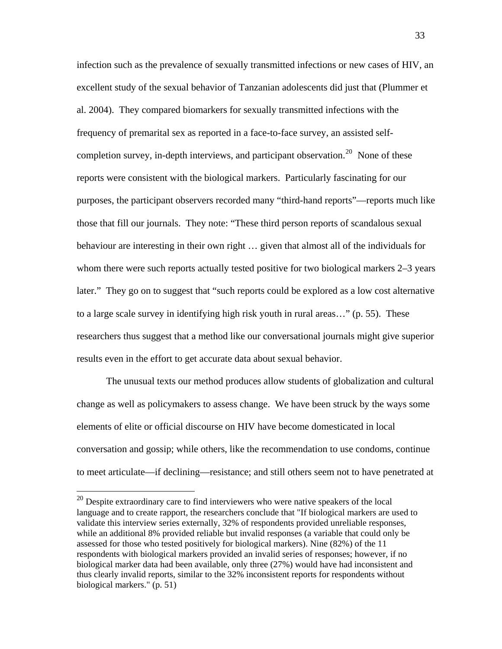infection such as the prevalence of sexually transmitted infections or new cases of HIV, an excellent study of the sexual behavior of Tanzanian adolescents did just that (Plummer et al. 2004). They compared biomarkers for sexually transmitted infections with the frequency of premarital sex as reported in a face-to-face survey, an assisted self-completion survey, in-depth interviews, and participant observation.<sup>[20](#page-32-0)</sup> None of these reports were consistent with the biological markers. Particularly fascinating for our purposes, the participant observers recorded many "third-hand reports"—reports much like those that fill our journals. They note: "These third person reports of scandalous sexual behaviour are interesting in their own right … given that almost all of the individuals for whom there were such reports actually tested positive for two biological markers 2–3 years later." They go on to suggest that "such reports could be explored as a low cost alternative to a large scale survey in identifying high risk youth in rural areas…" (p. 55). These researchers thus suggest that a method like our conversational journals might give superior results even in the effort to get accurate data about sexual behavior.

The unusual texts our method produces allow students of globalization and cultural change as well as policymakers to assess change. We have been struck by the ways some elements of elite or official discourse on HIV have become domesticated in local conversation and gossip; while others, like the recommendation to use condoms, continue to meet articulate—if declining—resistance; and still others seem not to have penetrated at

<span id="page-32-0"></span> $20$  Despite extraordinary care to find interviewers who were native speakers of the local language and to create rapport, the researchers conclude that "If biological markers are used to validate this interview series externally, 32% of respondents provided unreliable responses, while an additional 8% provided reliable but invalid responses (a variable that could only be assessed for those who tested positively for biological markers). Nine (82%) of the 11 respondents with biological markers provided an invalid series of responses; however, if no biological marker data had been available, only three (27%) would have had inconsistent and thus clearly invalid reports, similar to the 32% inconsistent reports for respondents without biological markers." (p. 51)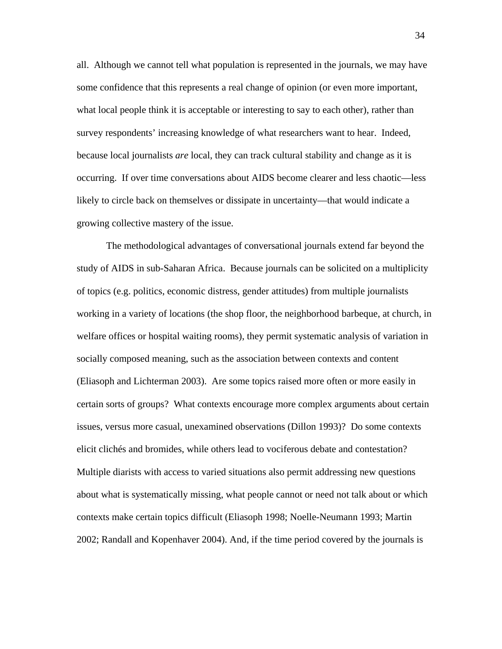all. Although we cannot tell what population is represented in the journals, we may have some confidence that this represents a real change of opinion (or even more important, what local people think it is acceptable or interesting to say to each other), rather than survey respondents' increasing knowledge of what researchers want to hear. Indeed, because local journalists *are* local, they can track cultural stability and change as it is occurring. If over time conversations about AIDS become clearer and less chaotic—less likely to circle back on themselves or dissipate in uncertainty—that would indicate a growing collective mastery of the issue.

The methodological advantages of conversational journals extend far beyond the study of AIDS in sub-Saharan Africa. Because journals can be solicited on a multiplicity of topics (e.g. politics, economic distress, gender attitudes) from multiple journalists working in a variety of locations (the shop floor, the neighborhood barbeque, at church, in welfare offices or hospital waiting rooms), they permit systematic analysis of variation in socially composed meaning, such as the association between contexts and content (Eliasoph and Lichterman 2003). Are some topics raised more often or more easily in certain sorts of groups? What contexts encourage more complex arguments about certain issues, versus more casual, unexamined observations (Dillon 1993)? Do some contexts elicit clichés and bromides, while others lead to vociferous debate and contestation? Multiple diarists with access to varied situations also permit addressing new questions about what is systematically missing, what people cannot or need not talk about or which contexts make certain topics difficult (Eliasoph 1998; Noelle-Neumann 1993; Martin 2002; Randall and Kopenhaver 2004). And, if the time period covered by the journals is

34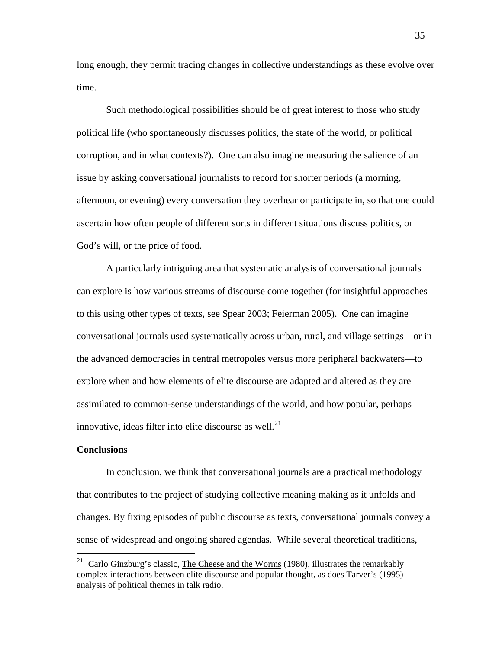long enough, they permit tracing changes in collective understandings as these evolve over time.

Such methodological possibilities should be of great interest to those who study political life (who spontaneously discusses politics, the state of the world, or political corruption, and in what contexts?). One can also imagine measuring the salience of an issue by asking conversational journalists to record for shorter periods (a morning, afternoon, or evening) every conversation they overhear or participate in, so that one could ascertain how often people of different sorts in different situations discuss politics, or God's will, or the price of food.

A particularly intriguing area that systematic analysis of conversational journals can explore is how various streams of discourse come together (for insightful approaches to this using other types of texts, see Spear 2003; Feierman 2005). One can imagine conversational journals used systematically across urban, rural, and village settings—or in the advanced democracies in central metropoles versus more peripheral backwaters—to explore when and how elements of elite discourse are adapted and altered as they are assimilated to common-sense understandings of the world, and how popular, perhaps innovative, ideas filter into elite discourse as well. $^{21}$  $^{21}$  $^{21}$ 

### **Conclusions**

 $\overline{a}$ 

In conclusion, we think that conversational journals are a practical methodology that contributes to the project of studying collective meaning making as it unfolds and changes. By fixing episodes of public discourse as texts, conversational journals convey a sense of widespread and ongoing shared agendas. While several theoretical traditions,

<span id="page-34-0"></span><sup>&</sup>lt;sup>21</sup> Carlo Ginzburg's classic, The Cheese and the Worms (1980), illustrates the remarkably complex interactions between elite discourse and popular thought, as does Tarver's (1995) analysis of political themes in talk radio.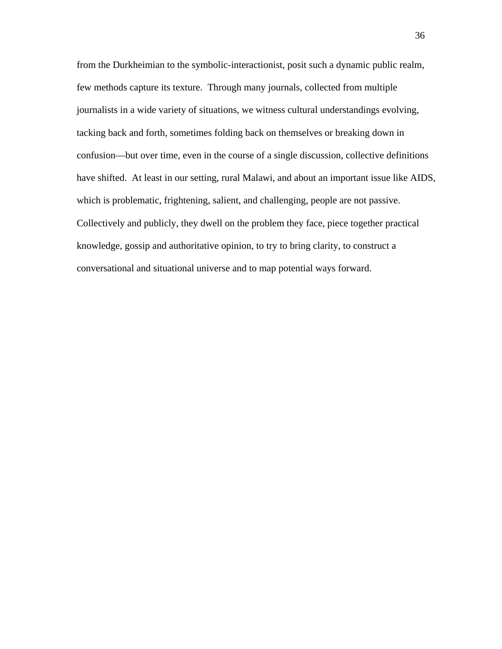from the Durkheimian to the symbolic-interactionist, posit such a dynamic public realm, few methods capture its texture. Through many journals, collected from multiple journalists in a wide variety of situations, we witness cultural understandings evolving, tacking back and forth, sometimes folding back on themselves or breaking down in confusion—but over time, even in the course of a single discussion, collective definitions have shifted. At least in our setting, rural Malawi, and about an important issue like AIDS, which is problematic, frightening, salient, and challenging, people are not passive. Collectively and publicly, they dwell on the problem they face, piece together practical knowledge, gossip and authoritative opinion, to try to bring clarity, to construct a conversational and situational universe and to map potential ways forward.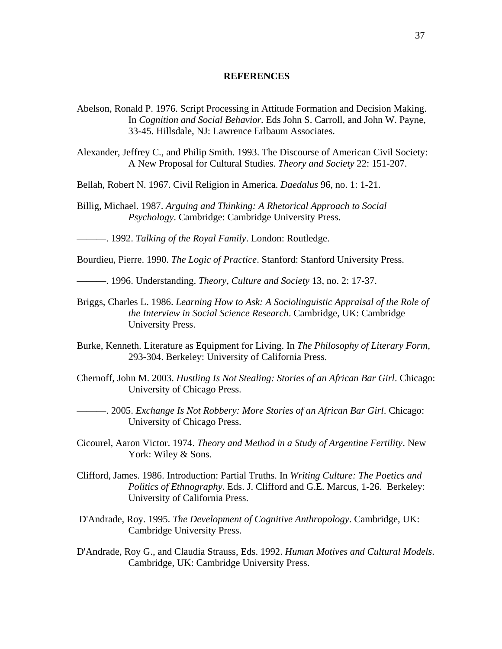### **REFERENCES**

- Abelson, Ronald P. 1976. Script Processing in Attitude Formation and Decision Making. In *Cognition and Social Behavior.* Eds John S. Carroll, and John W. Payne, 33-45. Hillsdale, NJ: Lawrence Erlbaum Associates.
- Alexander, Jeffrey C., and Philip Smith. 1993. The Discourse of American Civil Society: A New Proposal for Cultural Studies. *Theory and Society* 22: 151-207.
- Bellah, Robert N. 1967. Civil Religion in America. *Daedalus* 96, no. 1: 1-21.
- Billig, Michael. 1987. *Arguing and Thinking: A Rhetorical Approach to Social Psychology*. Cambridge: Cambridge University Press.

———. 1992. *Talking of the Royal Family*. London: Routledge.

Bourdieu, Pierre. 1990. *The Logic of Practice*. Stanford: Stanford University Press.

———. 1996. Understanding. *Theory, Culture and Society* 13, no. 2: 17-37.

- Briggs, Charles L. 1986. *Learning How to Ask: A Sociolinguistic Appraisal of the Role of the Interview in Social Science Research*. Cambridge, UK: Cambridge University Press.
- Burke, Kenneth. Literature as Equipment for Living. In *The Philosophy of Literary Form*, 293-304. Berkeley: University of California Press.
- Chernoff, John M. 2003. *Hustling Is Not Stealing: Stories of an African Bar Girl*. Chicago: University of Chicago Press.

———. 2005. *Exchange Is Not Robbery: More Stories of an African Bar Girl*. Chicago: University of Chicago Press.

- Cicourel, Aaron Victor. 1974. *Theory and Method in a Study of Argentine Fertility*. New York: Wiley & Sons.
- Clifford, James. 1986. Introduction: Partial Truths. In *Writing Culture: The Poetics and Politics of Ethnography*. Eds. J. Clifford and G.E. Marcus, 1-26. Berkeley: University of California Press.
- D'Andrade, Roy. 1995. *The Development of Cognitive Anthropology*. Cambridge, UK: Cambridge University Press.
- D'Andrade, Roy G., and Claudia Strauss, Eds. 1992. *Human Motives and Cultural Models*. Cambridge, UK: Cambridge University Press.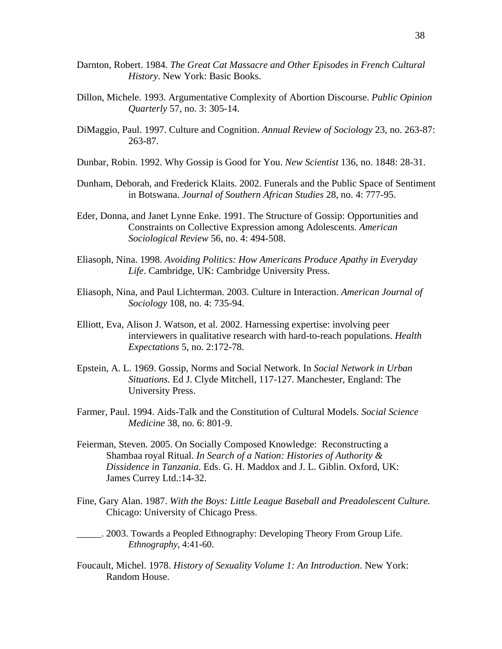- Darnton, Robert. 1984. *The Great Cat Massacre and Other Episodes in French Cultural History*. New York: Basic Books.
- Dillon, Michele. 1993. Argumentative Complexity of Abortion Discourse. *Public Opinion Quarterly* 57, no. 3: 305-14.
- DiMaggio, Paul. 1997. Culture and Cognition. *Annual Review of Sociology* 23, no. 263-87: 263-87.
- Dunbar, Robin. 1992. Why Gossip is Good for You. *New Scientist* 136, no. 1848: 28-31.
- Dunham, Deborah, and Frederick Klaits. 2002. Funerals and the Public Space of Sentiment in Botswana. *Journal of Southern African Studies* 28, no. 4: 777-95.
- Eder, Donna, and Janet Lynne Enke. 1991. The Structure of Gossip: Opportunities and Constraints on Collective Expression among Adolescents. *American Sociological Review* 56, no. 4: 494-508.
- Eliasoph, Nina. 1998. *Avoiding Politics: How Americans Produce Apathy in Everyday Life*. Cambridge, UK: Cambridge University Press.
- Eliasoph, Nina, and Paul Lichterman. 2003. Culture in Interaction. *American Journal of Sociology* 108, no. 4: 735-94.
- Elliott, Eva, Alison J. Watson, et al. 2002. Harnessing expertise: involving peer interviewers in qualitative research with hard-to-reach populations. *Health Expectations* 5, no. 2:172-78.
- Epstein, A. L. 1969. Gossip, Norms and Social Network. In *Social Network in Urban Situations.* Ed J. Clyde Mitchell, 117-127. Manchester, England: The University Press.
- Farmer, Paul. 1994. Aids-Talk and the Constitution of Cultural Models. *Social Science Medicine* 38, no. 6: 801-9.
- Feierman, Steven. 2005. On Socially Composed Knowledge: Reconstructing a Shambaa royal Ritual. *In Search of a Nation: Histories of Authority & Dissidence in Tanzania*. Eds. G. H. Maddox and J. L. Giblin. Oxford, UK: James Currey Ltd.:14-32.
- Fine, Gary Alan. 1987. *With the Boys: Little League Baseball and Preadolescent Culture.*  Chicago: University of Chicago Press.
- . 2003. Towards a Peopled Ethnography: Developing Theory From Group Life. *Ethnography*, 4:41-60.
- Foucault, Michel. 1978. *History of Sexuality Volume 1: An Introduction*. New York: Random House.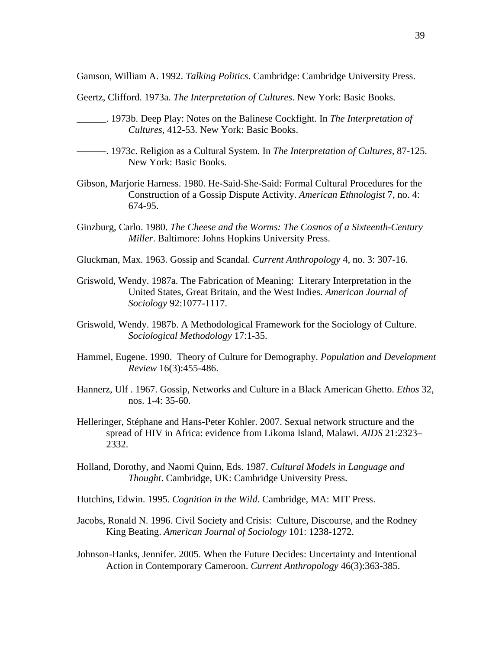Gamson, William A. 1992. *Talking Politics*. Cambridge: Cambridge University Press.

- Geertz, Clifford. 1973a. *The Interpretation of Cultures*. New York: Basic Books.
- \_\_\_\_\_\_. 1973b. Deep Play: Notes on the Balinese Cockfight. In *The Interpretation of Cultures*, 412-53. New York: Basic Books.
- ———. 1973c. Religion as a Cultural System. In *The Interpretation of Cultures,* 87-125. New York: Basic Books.
- Gibson, Marjorie Harness. 1980. He-Said-She-Said: Formal Cultural Procedures for the Construction of a Gossip Dispute Activity. *American Ethnologist* 7, no. 4: 674-95.
- Ginzburg, Carlo. 1980. *The Cheese and the Worms: The Cosmos of a Sixteenth-Century Miller*. Baltimore: Johns Hopkins University Press.
- Gluckman, Max. 1963. Gossip and Scandal. *Current Anthropology* 4, no. 3: 307-16.
- Griswold, Wendy. 1987a. The Fabrication of Meaning: Literary Interpretation in the United States, Great Britain, and the West Indies. *American Journal of Sociology* 92:1077-1117.
- Griswold, Wendy. 1987b. A Methodological Framework for the Sociology of Culture. *Sociological Methodology* 17:1-35.
- Hammel, Eugene. 1990. Theory of Culture for Demography. *Population and Development Review* 16(3):455-486.
- Hannerz, Ulf . 1967. Gossip, Networks and Culture in a Black American Ghetto. *Ethos* 32, nos. 1-4: 35-60.
- Helleringer, Stéphane and Hans-Peter Kohler. 2007. Sexual network structure and the spread of HIV in Africa: evidence from Likoma Island, Malawi. *AIDS* 21:2323– 2332.
- Holland, Dorothy, and Naomi Quinn, Eds. 1987. *Cultural Models in Language and Thought*. Cambridge, UK: Cambridge University Press.
- Hutchins, Edwin. 1995. *Cognition in the Wild*. Cambridge, MA: MIT Press.
- Jacobs, Ronald N. 1996. Civil Society and Crisis: Culture, Discourse, and the Rodney King Beating. *American Journal of Sociology* 101: 1238-1272.
- Johnson-Hanks, Jennifer. 2005. When the Future Decides: Uncertainty and Intentional Action in Contemporary Cameroon. *Current Anthropology* 46(3):363-385.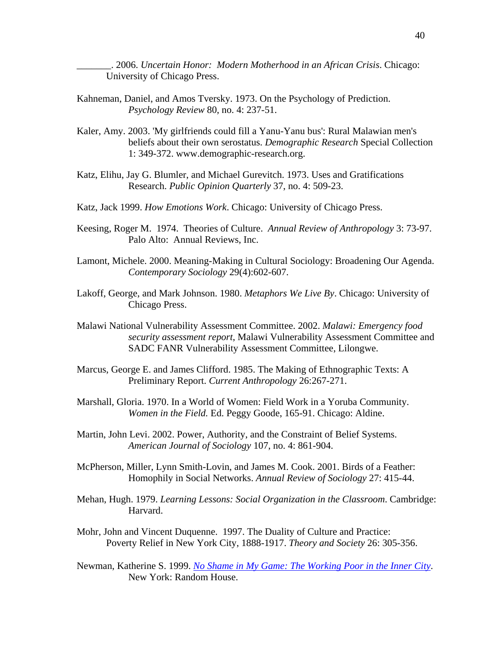\_\_\_\_\_\_\_. 2006. *Uncertain Honor: Modern Motherhood in an African Crisis*. Chicago: University of Chicago Press.

- Kahneman, Daniel, and Amos Tversky. 1973. On the Psychology of Prediction. *Psychology Review* 80, no. 4: 237-51.
- Kaler, Amy. 2003. 'My girlfriends could fill a Yanu-Yanu bus': Rural Malawian men's beliefs about their own serostatus. *Demographic Research* Special Collection 1: 349-372. www.demographic-research.org.
- Katz, Elihu, Jay G. Blumler, and Michael Gurevitch. 1973. Uses and Gratifications Research. *Public Opinion Quarterly* 37, no. 4: 509-23.
- Katz, Jack 1999. *How Emotions Work*. Chicago: University of Chicago Press.
- Keesing, Roger M. 1974. Theories of Culture. *Annual Review of Anthropology* 3: 73-97. Palo Alto: Annual Reviews, Inc.
- Lamont, Michele. 2000. Meaning-Making in Cultural Sociology: Broadening Our Agenda. *Contemporary Sociology* 29(4):602-607.
- Lakoff, George, and Mark Johnson. 1980. *Metaphors We Live By*. Chicago: University of Chicago Press.
- Malawi National Vulnerability Assessment Committee. 2002. *Malawi: Emergency food security assessment report*, Malawi Vulnerability Assessment Committee and SADC FANR Vulnerability Assessment Committee, Lilongwe.
- Marcus, George E. and James Clifford. 1985. The Making of Ethnographic Texts: A Preliminary Report. *Current Anthropology* 26:267-271.
- Marshall, Gloria. 1970. In a World of Women: Field Work in a Yoruba Community. *Women in the Field.* Ed. Peggy Goode, 165-91. Chicago: Aldine.
- Martin, John Levi. 2002. Power, Authority, and the Constraint of Belief Systems. *American Journal of Sociology* 107, no. 4: 861-904.
- McPherson, Miller, Lynn Smith-Lovin, and James M. Cook. 2001. Birds of a Feather: Homophily in Social Networks. *Annual Review of Sociology* 27: 415-44.
- Mehan, Hugh. 1979. *Learning Lessons: Social Organization in the Classroom*. Cambridge: Harvard.
- Mohr, John and Vincent Duquenne. 1997. The Duality of Culture and Practice: Poverty Relief in New York City, 1888-1917. *Theory and Society* 26: 305-356.
- Newman, Katherine S. 1999. *[No Shame in My Game: The Working Poor in the Inner City](http://www.amazon.com/No-Shame-My-Game-Working/dp/0375703799/ref=si3_rdr_bb_product)*. New York: Random House.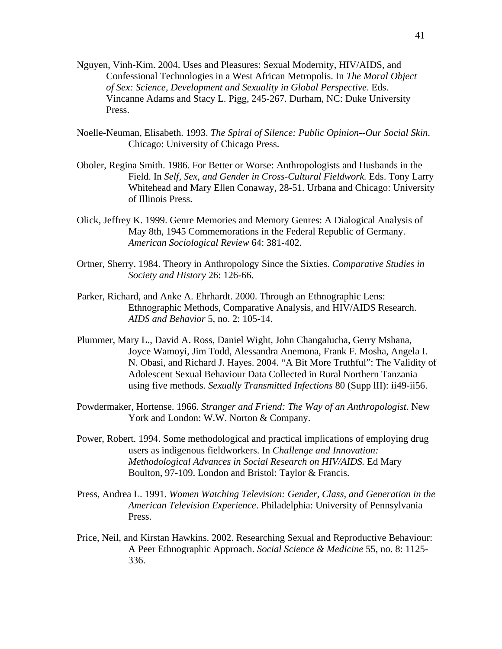- Nguyen, Vinh-Kim. 2004. Uses and Pleasures: Sexual Modernity, HIV/AIDS, and Confessional Technologies in a West African Metropolis. In *The Moral Object of Sex: Science, Development and Sexuality in Global Perspective*. Eds. Vincanne Adams and Stacy L. Pigg, 245-267. Durham, NC: Duke University Press.
- Noelle-Neuman, Elisabeth. 1993. *The Spiral of Silence: Public Opinion--Our Social Skin*. Chicago: University of Chicago Press.
- Oboler, Regina Smith. 1986. For Better or Worse: Anthropologists and Husbands in the Field. In *Self, Sex, and Gender in Cross-Cultural Fieldwork.* Eds. Tony Larry Whitehead and Mary Ellen Conaway, 28-51. Urbana and Chicago: University of Illinois Press.
- Olick, Jeffrey K. 1999. Genre Memories and Memory Genres: A Dialogical Analysis of May 8th, 1945 Commemorations in the Federal Republic of Germany. *American Sociological Review* 64: 381-402.
- Ortner, Sherry. 1984. Theory in Anthropology Since the Sixties. *Comparative Studies in Society and History* 26: 126-66.
- Parker, Richard, and Anke A. Ehrhardt. 2000. Through an Ethnographic Lens: Ethnographic Methods, Comparative Analysis, and HIV/AIDS Research. *AIDS and Behavior* 5, no. 2: 105-14.
- Plummer, Mary L., David A. Ross, Daniel Wight, John Changalucha, Gerry Mshana, Joyce Wamoyi, Jim Todd, Alessandra Anemona, Frank F. Mosha, Angela I. N. Obasi, and Richard J. Hayes. 2004. "A Bit More Truthful": The Validity of Adolescent Sexual Behaviour Data Collected in Rural Northern Tanzania using five methods. *Sexually Transmitted Infections* 80 (Supp lII): ii49-ii56.
- Powdermaker, Hortense. 1966. *Stranger and Friend: The Way of an Anthropologist*. New York and London: W.W. Norton & Company.
- Power, Robert. 1994. Some methodological and practical implications of employing drug users as indigenous fieldworkers. In *Challenge and Innovation: Methodological Advances in Social Research on HIV/AIDS.* Ed Mary Boulton, 97-109. London and Bristol: Taylor & Francis.
- Press, Andrea L. 1991. *Women Watching Television: Gender, Class, and Generation in the American Television Experience*. Philadelphia: University of Pennsylvania Press.
- Price, Neil, and Kirstan Hawkins. 2002. Researching Sexual and Reproductive Behaviour: A Peer Ethnographic Approach. *Social Science & Medicine* 55, no. 8: 1125- 336.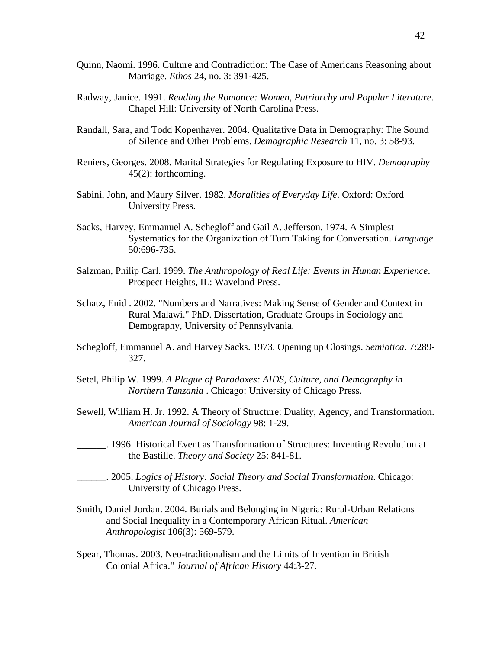- Quinn, Naomi. 1996. Culture and Contradiction: The Case of Americans Reasoning about Marriage. *Ethos* 24, no. 3: 391-425.
- Radway, Janice. 1991. *Reading the Romance: Women, Patriarchy and Popular Literature*. Chapel Hill: University of North Carolina Press.
- Randall, Sara, and Todd Kopenhaver. 2004. Qualitative Data in Demography: The Sound of Silence and Other Problems. *Demographic Research* 11, no. 3: 58-93.
- Reniers, Georges. 2008. Marital Strategies for Regulating Exposure to HIV. *Demography* 45(2): forthcoming.
- Sabini, John, and Maury Silver. 1982. *Moralities of Everyday Life*. Oxford: Oxford University Press.
- Sacks, Harvey, Emmanuel A. Schegloff and Gail A. Jefferson. 1974. A Simplest Systematics for the Organization of Turn Taking for Conversation. *Language* 50:696-735.
- Salzman, Philip Carl. 1999. *The Anthropology of Real Life: Events in Human Experience*. Prospect Heights, IL: Waveland Press.
- Schatz, Enid . 2002. "Numbers and Narratives: Making Sense of Gender and Context in Rural Malawi." PhD. Dissertation, Graduate Groups in Sociology and Demography, University of Pennsylvania.
- Schegloff, Emmanuel A. and Harvey Sacks. 1973. Opening up Closings. *Semiotica*. 7:289- 327.
- Setel, Philip W. 1999. *A Plague of Paradoxes: AIDS, Culture, and Demography in Northern Tanzania* . Chicago: University of Chicago Press.
- Sewell, William H. Jr. 1992. A Theory of Structure: Duality, Agency, and Transformation. *American Journal of Sociology* 98: 1-29.
- \_\_\_\_\_\_. 1996. Historical Event as Transformation of Structures: Inventing Revolution at the Bastille. *Theory and Society* 25: 841-81.
- \_\_\_\_\_\_. 2005. *Logics of History: Social Theory and Social Transformation*. Chicago: University of Chicago Press.
- Smith, Daniel Jordan. 2004. Burials and Belonging in Nigeria: Rural-Urban Relations and Social Inequality in a Contemporary African Ritual. *American Anthropologist* 106(3): 569-579.
- Spear, Thomas. 2003. Neo-traditionalism and the Limits of Invention in British Colonial Africa." *Journal of African History* 44:3-27.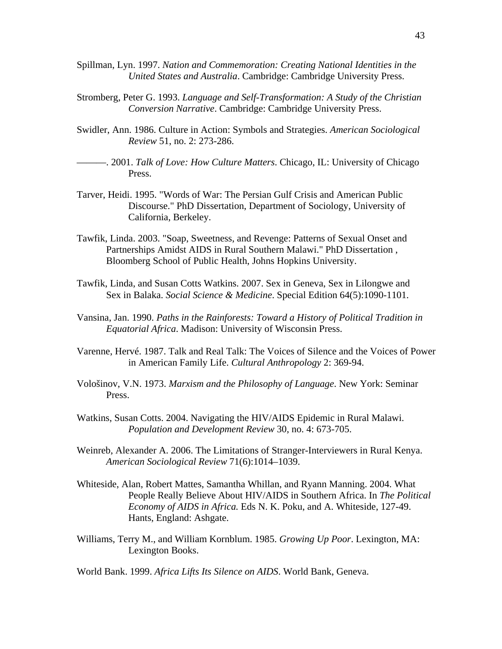- Spillman, Lyn. 1997. *Nation and Commemoration: Creating National Identities in the United States and Australia*. Cambridge: Cambridge University Press.
- Stromberg, Peter G. 1993. *Language and Self-Transformation: A Study of the Christian Conversion Narrative*. Cambridge: Cambridge University Press.
- Swidler, Ann. 1986. Culture in Action: Symbols and Strategies. *American Sociological Review* 51, no. 2: 273-286.
- ———. 2001. *Talk of Love: How Culture Matters*. Chicago, IL: University of Chicago Press.
- Tarver, Heidi. 1995. "Words of War: The Persian Gulf Crisis and American Public Discourse." PhD Dissertation, Department of Sociology, University of California, Berkeley.
- Tawfik, Linda. 2003. "Soap, Sweetness, and Revenge: Patterns of Sexual Onset and Partnerships Amidst AIDS in Rural Southern Malawi." PhD Dissertation , Bloomberg School of Public Health, Johns Hopkins University.
- Tawfik, Linda, and Susan Cotts Watkins. 2007. Sex in Geneva, Sex in Lilongwe and Sex in Balaka. *Social Science & Medicine*. Special Edition 64(5):1090-1101.
- Vansina, Jan. 1990. *Paths in the Rainforests: Toward a History of Political Tradition in Equatorial Africa*. Madison: University of Wisconsin Press.
- Varenne, Hervé. 1987. Talk and Real Talk: The Voices of Silence and the Voices of Power in American Family Life. *Cultural Anthropology* 2: 369-94.
- Vološinov, V.N. 1973. *Marxism and the Philosophy of Language*. New York: Seminar Press.
- Watkins, Susan Cotts. 2004. Navigating the HIV/AIDS Epidemic in Rural Malawi. *Population and Development Review* 30, no. 4: 673-705.
- Weinreb, Alexander A. 2006. The Limitations of Stranger-Interviewers in Rural Kenya. *American Sociological Review* 71(6):1014–1039.
- Whiteside, Alan, Robert Mattes, Samantha Whillan, and Ryann Manning. 2004. What People Really Believe About HIV/AIDS in Southern Africa. In *The Political Economy of AIDS in Africa.* Eds N. K. Poku, and A. Whiteside, 127-49. Hants, England: Ashgate.
- Williams, Terry M., and William Kornblum. 1985. *Growing Up Poor*. Lexington, MA: Lexington Books.

World Bank. 1999. *Africa Lifts Its Silence on AIDS*. World Bank, Geneva.